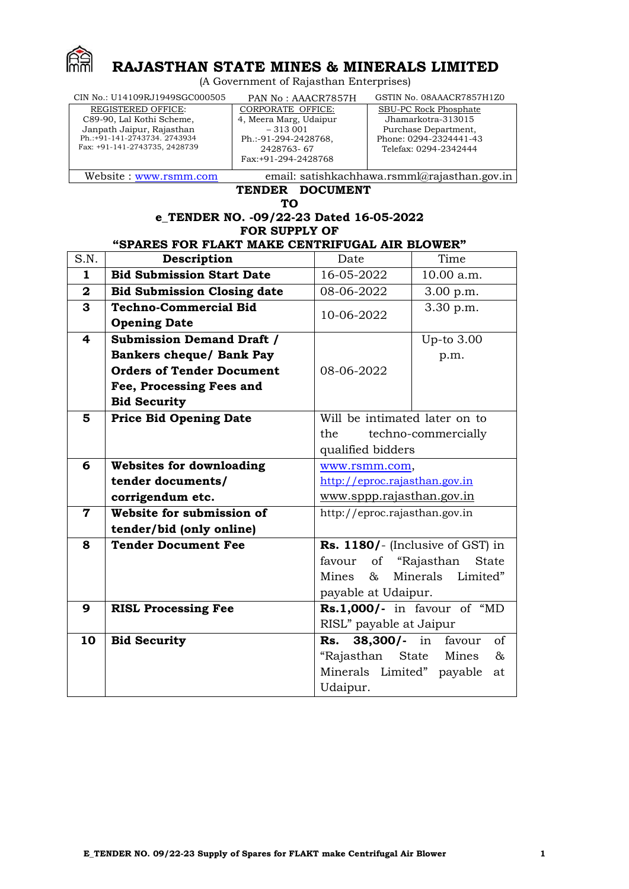

# **RAJASTHAN STATE MINES & MINERALS LIMITED**

(A Government of Rajasthan Enterprises)

| CIN No.: U14109RJ1949SGC000505 | PAN No: AAACR7857H                           | GSTIN No. 08AAACR7857H1Z0 |  |
|--------------------------------|----------------------------------------------|---------------------------|--|
| <b>REGISTERED OFFICE:</b>      | CORPORATE OFFICE:                            | SBU-PC Rock Phosphate     |  |
| C89-90, Lal Kothi Scheme,      | 4, Meera Marg, Udaipur                       | Jhamarkotra-313015        |  |
| Janpath Jaipur, Rajasthan      | $-313001$                                    | Purchase Department,      |  |
| Ph.:+91-141-2743734. 2743934   | Ph.:-91-294-2428768,                         | Phone: 0294-2324441-43    |  |
| Fax: +91-141-2743735, 2428739  | 2428763-67                                   | Telefax: 0294-2342444     |  |
|                                | Fax:+91-294-2428768                          |                           |  |
|                                |                                              |                           |  |
| Website: www.rsmm.com          | email: satishkachhawa.rsmml@rajasthan.gov.in |                           |  |

# **TENDER DOCUMENT**

**TO**

# **e\_TENDER NO. -09/22-23 Dated 16-05-2022 FOR SUPPLY OF**

# **"SPARES FOR FLAKT MAKE CENTRIFUGAL AIR BLOWER"**

| S.N.                    | Description                        | Date                                 | Time                          |  |
|-------------------------|------------------------------------|--------------------------------------|-------------------------------|--|
| $\mathbf{1}$            | <b>Bid Submission Start Date</b>   | 16-05-2022                           | 10.00 a.m.                    |  |
| $\mathbf{2}$            | <b>Bid Submission Closing date</b> | 08-06-2022                           | 3.00 p.m.                     |  |
| 3                       | <b>Techno-Commercial Bid</b>       | 10-06-2022                           | 3.30 p.m.                     |  |
|                         | <b>Opening Date</b>                |                                      |                               |  |
| $\overline{\mathbf{4}}$ | <b>Submission Demand Draft /</b>   |                                      | Up-to 3.00                    |  |
|                         | <b>Bankers cheque/ Bank Pay</b>    |                                      | p.m.                          |  |
|                         | <b>Orders of Tender Document</b>   | 08-06-2022                           |                               |  |
|                         | Fee, Processing Fees and           |                                      |                               |  |
|                         | <b>Bid Security</b>                |                                      |                               |  |
| 5                       | <b>Price Bid Opening Date</b>      | Will be intimated later on to        |                               |  |
|                         |                                    | the                                  | techno-commercially           |  |
|                         |                                    | qualified bidders                    |                               |  |
| 6                       | <b>Websites for downloading</b>    | www.rsmm.com,                        |                               |  |
|                         | tender documents/                  | http://eproc.rajasthan.gov.in        |                               |  |
|                         | corrigendum etc.                   | www.sppp.rajasthan.gov.in            |                               |  |
| $\mathbf 7$             | Website for submission of          | http://eproc.rajasthan.gov.in        |                               |  |
|                         | tender/bid (only online)           |                                      |                               |  |
| 8                       | <b>Tender Document Fee</b>         | Rs. 1180/- (Inclusive of GST) in     |                               |  |
|                         |                                    | favour                               | of "Rajasthan<br><b>State</b> |  |
|                         |                                    | Minerals Limited"<br>Mines<br>8z.    |                               |  |
|                         |                                    | payable at Udaipur.                  |                               |  |
| 9                       | <b>RISL Processing Fee</b>         | $Rs.1,000/$ - in favour of "MD       |                               |  |
|                         |                                    | RISL" payable at Jaipur              |                               |  |
| 10                      | <b>Bid Security</b>                | 38,300/- in<br>favour<br>οf<br>Rs.   |                               |  |
|                         |                                    | $\&$<br>"Rajasthan<br>State<br>Mines |                               |  |
|                         |                                    | Minerals Limited" payable<br>at      |                               |  |
|                         |                                    | Udaipur.                             |                               |  |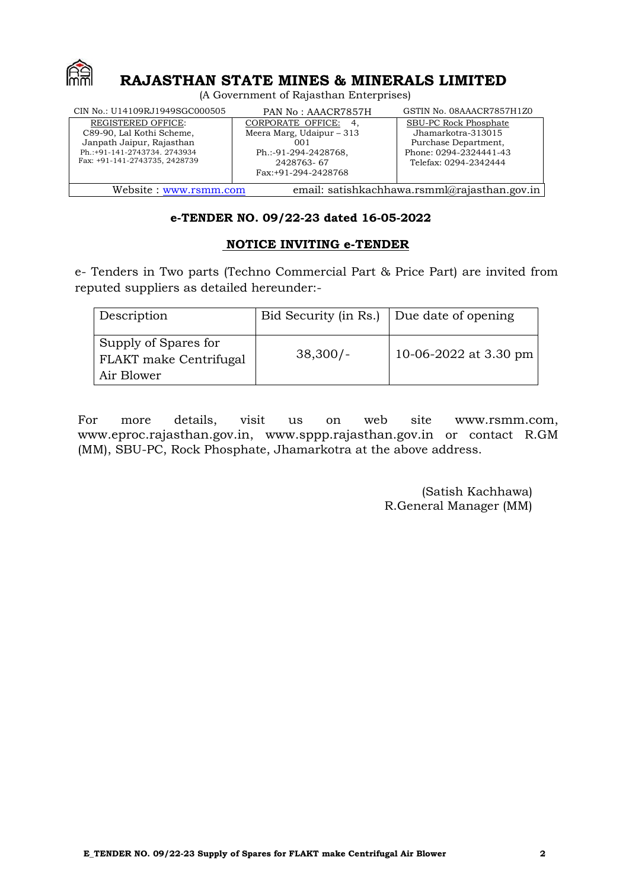

# **RAJASTHAN STATE MINES & MINERALS LIMITED**

(A Government of Rajasthan Enterprises)

| CIN No.: U14109RJ1949SGC000505                                                                                                                       | PAN No: AAACR7857H                                                                                                         | GSTIN No. 08AAACR7857H1Z0                                                                                              |  |
|------------------------------------------------------------------------------------------------------------------------------------------------------|----------------------------------------------------------------------------------------------------------------------------|------------------------------------------------------------------------------------------------------------------------|--|
| <b>REGISTERED OFFICE:</b><br>C89-90, Lal Kothi Scheme,<br>Janpath Jaipur, Rajasthan<br>Ph.:+91-141-2743734. 2743934<br>Fax: +91-141-2743735, 2428739 | CORPORATE OFFICE:<br>-4.<br>Meera Marg, Udaipur $-313$<br>001<br>Ph.:-91-294-2428768,<br>2428763-67<br>Fax:+91-294-2428768 | SBU-PC Rock Phosphate<br>Jhamarkotra-313015<br>Purchase Department,<br>Phone: 0294-2324441-43<br>Telefax: 0294-2342444 |  |
|                                                                                                                                                      | email: satishkachhawa.rsmml@rajasthan.gov.in<br>Website: www.rsmm.com                                                      |                                                                                                                        |  |

# **e-TENDER NO. 09/22-23 dated 16-05-2022**

# **NOTICE INVITING e-TENDER**

e- Tenders in Two parts (Techno Commercial Part & Price Part) are invited from reputed suppliers as detailed hereunder:-

| <b>Description</b>                                           | Bid Security (in Rs.) Due date of opening |                       |
|--------------------------------------------------------------|-------------------------------------------|-----------------------|
| Supply of Spares for<br>FLAKT make Centrifugal<br>Air Blower | $38,300/-$                                | 10-06-2022 at 3.30 pm |

For more details, visit us on web site [www.rsmm.com](http://www.rsmm.com/), [www.eproc.rajasthan.gov.in](http://www.eproc.rajasthan.gov.in/), [www.sppp.rajasthan.gov.in](http://www.sppp.rajasthan.gov.in/) or contact R.GM (MM), SBU-PC, Rock Phosphate, Jhamarkotra at the above address.

> (Satish Kachhawa) R.General Manager (MM)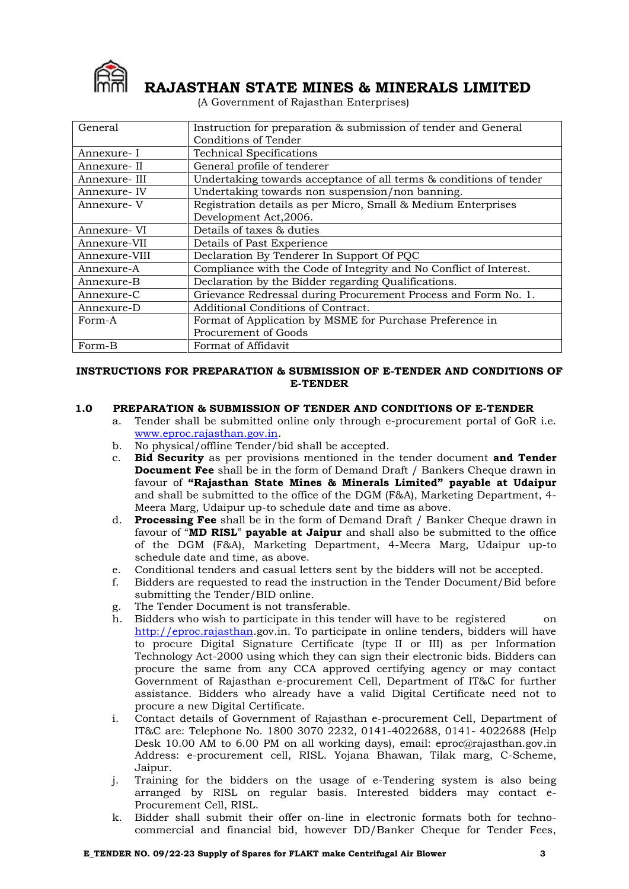

# **RAJASTHAN STATE MINES & MINERALS LIMITED**

(A Government of Rajasthan Enterprises)

| General                                          | Instruction for preparation & submission of tender and General     |  |
|--------------------------------------------------|--------------------------------------------------------------------|--|
|                                                  | Conditions of Tender                                               |  |
| Annexure-I                                       | <b>Technical Specifications</b>                                    |  |
| Annexure- II                                     | General profile of tenderer                                        |  |
| Annexure- III                                    | Undertaking towards acceptance of all terms & conditions of tender |  |
| Annexure- IV                                     | Undertaking towards non suspension/non banning.                    |  |
| Annexure- V                                      | Registration details as per Micro, Small & Medium Enterprises      |  |
|                                                  | Development Act, 2006.                                             |  |
| Annexure- VI                                     | Details of taxes & duties                                          |  |
| Annexure-VII                                     | Details of Past Experience                                         |  |
| Annexure-VIII                                    | Declaration By Tenderer In Support Of PQC                          |  |
| Annexure-A                                       | Compliance with the Code of Integrity and No Conflict of Interest. |  |
| Annexure-B                                       | Declaration by the Bidder regarding Qualifications.                |  |
| Annexure-C                                       | Grievance Redressal during Procurement Process and Form No. 1.     |  |
| Additional Conditions of Contract.<br>Annexure-D |                                                                    |  |
| Form-A                                           | Format of Application by MSME for Purchase Preference in           |  |
|                                                  | Procurement of Goods                                               |  |
| Form-B                                           | Format of Affidavit                                                |  |

#### **INSTRUCTIONS FOR PREPARATION & SUBMISSION OF E-TENDER AND CONDITIONS OF E-TENDER**

# **1.0 PREPARATION & SUBMISSION OF TENDER AND CONDITIONS OF E-TENDER**

- a. Tender shall be submitted online only through e-procurement portal of GoR i.e. [www.eproc.rajasthan.gov.in.](http://www.eproc.rajasthan.gov.in/)
- b. No physical/offline Tender/bid shall be accepted.
- c. **Bid Security** as per provisions mentioned in the tender document **and Tender Document Fee** shall be in the form of Demand Draft / Bankers Cheque drawn in favour of **"Rajasthan State Mines & Minerals Limited" payable at Udaipur** and shall be submitted to the office of the DGM (F&A), Marketing Department, 4- Meera Marg, Udaipur up-to schedule date and time as above.
- d. **Processing Fee** shall be in the form of Demand Draft / Banker Cheque drawn in favour of "**MD RISL**" **payable at Jaipur** and shall also be submitted to the office of the DGM (F&A), Marketing Department, 4-Meera Marg, Udaipur up-to schedule date and time, as above.
- e. Conditional tenders and casual letters sent by the bidders will not be accepted.
- f. Bidders are requested to read the instruction in the Tender Document/Bid before submitting the Tender/BID online.
- g. The Tender Document is not transferable.
- h. Bidders who wish to participate in this tender will have to be registered on [http://eproc.rajasthan.](http://eproc.rajasthan/)gov.in. To participate in online tenders, bidders will have to procure Digital Signature Certificate (type II or III) as per Information Technology Act-2000 using which they can sign their electronic bids. Bidders can procure the same from any CCA approved certifying agency or may contact Government of Rajasthan e-procurement Cell, Department of IT&C for further assistance. Bidders who already have a valid Digital Certificate need not to procure a new Digital Certificate.
- i. Contact details of Government of Rajasthan e-procurement Cell, Department of IT&C are: Telephone No. 1800 3070 2232, 0141-4022688, 0141- 4022688 (Help Desk 10.00 AM to 6.00 PM on all working days), email: eproc@rajasthan.gov.in Address: e-procurement cell, RISL. Yojana Bhawan, Tilak marg, C-Scheme, Jaipur.
- j. Training for the bidders on the usage of e-Tendering system is also being arranged by RISL on regular basis. Interested bidders may contact e-Procurement Cell, RISL.
- k. Bidder shall submit their offer on-line in electronic formats both for technocommercial and financial bid, however DD/Banker Cheque for Tender Fees,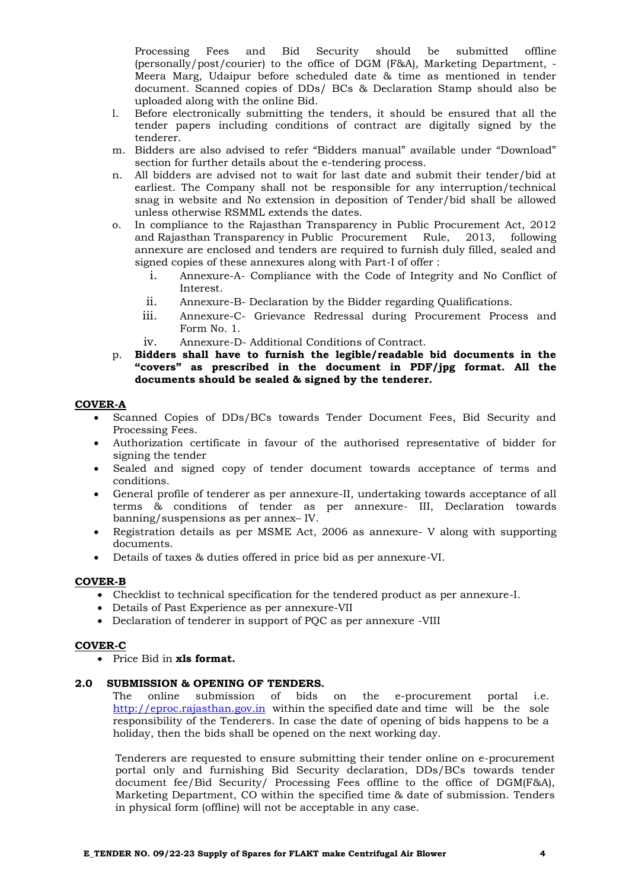Processing Fees and Bid Security should be submitted offline (personally/post/courier) to the office of DGM (F&A), Marketing Department, - Meera Marg, Udaipur before scheduled date & time as mentioned in tender document. Scanned copies of DDs/ BCs & Declaration Stamp should also be uploaded along with the online Bid.

- l. Before electronically submitting the tenders, it should be ensured that all the tender papers including conditions of contract are digitally signed by the tenderer.
- m. Bidders are also advised to refer "Bidders manual" available under "Download" section for further details about the e-tendering process.
- n. All bidders are advised not to wait for last date and submit their tender/bid at earliest. The Company shall not be responsible for any interruption/technical snag in website and No extension in deposition of Tender/bid shall be allowed unless otherwise RSMML extends the dates.
- o. In compliance to the Rajasthan Transparency in Public Procurement Act, 2012 and Rajasthan Transparency in Public Procurement Rule, 2013, following annexure are enclosed and tenders are required to furnish duly filled, sealed and signed copies of these annexures along with Part-I of offer :
	- i. Annexure-A- Compliance with the Code of Integrity and No Conflict of Interest.
	- ii. Annexure-B- Declaration by the Bidder regarding Qualifications.
	- iii. Annexure-C- Grievance Redressal during Procurement Process and Form No. 1.
	- iv. Annexure-D- Additional Conditions of Contract.
- p. **Bidders shall have to furnish the legible/readable bid documents in the "covers" as prescribed in the document in PDF/jpg format. All the documents should be sealed & signed by the tenderer.**

#### **COVER-A**

- Scanned Copies of DDs/BCs towards Tender Document Fees, Bid Security and Processing Fees.
- Authorization certificate in favour of the authorised representative of bidder for signing the tender
- Sealed and signed copy of tender document towards acceptance of terms and conditions.
- General profile of tenderer as per annexure-II, undertaking towards acceptance of all terms & conditions of tender as per annexure- III, Declaration towards banning/suspensions as per annex– IV.
- Registration details as per MSME Act, 2006 as annexure- V along with supporting documents.
- Details of taxes & duties offered in price bid as per annexure-VI.

# **COVER-B**

- Checklist to technical specification for the tendered product as per annexure-I.
- Details of Past Experience as per annexure-VII
- Declaration of tenderer in support of PQC as per annexure -VIII

#### **COVER-C**

Price Bid in **xls format.**

#### **2.0 SUBMISSION & OPENING OF TENDERS.**

The online submission of bids on the e-procurement portal i.e. [http://eproc.rajasthan.gov.in](http://eproc.rajasthan.gov.in/) within the specified date and time will be the sole responsibility of the Tenderers. In case the date of opening of bids happens to be a holiday, then the bids shall be opened on the next working day.

Tenderers are requested to ensure submitting their tender online on e-procurement portal only and furnishing Bid Security declaration, DDs/BCs towards tender document fee/Bid Security/ Processing Fees offline to the office of DGM(F&A), Marketing Department, CO within the specified time & date of submission. Tenders in physical form (offline) will not be acceptable in any case.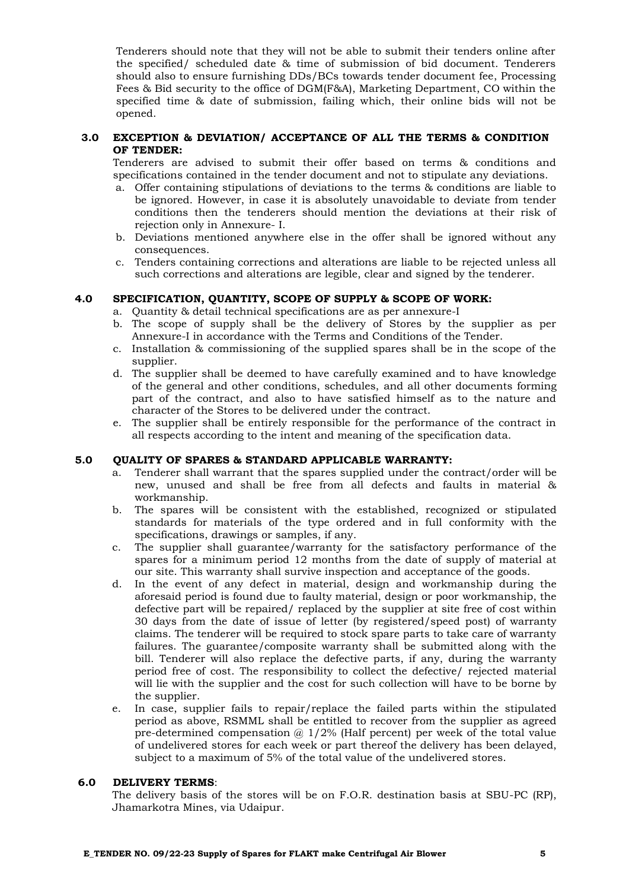Tenderers should note that they will not be able to submit their tenders online after the specified/ scheduled date & time of submission of bid document. Tenderers should also to ensure furnishing DDs/BCs towards tender document fee, Processing Fees & Bid security to the office of DGM(F&A), Marketing Department, CO within the specified time & date of submission, failing which, their online bids will not be opened.

#### **3.0 EXCEPTION & DEVIATION/ ACCEPTANCE OF ALL THE TERMS & CONDITION OF TENDER:**

Tenderers are advised to submit their offer based on terms & conditions and specifications contained in the tender document and not to stipulate any deviations.

- a. Offer containing stipulations of deviations to the terms & conditions are liable to be ignored. However, in case it is absolutely unavoidable to deviate from tender conditions then the tenderers should mention the deviations at their risk of rejection only in Annexure- I.
- b. Deviations mentioned anywhere else in the offer shall be ignored without any consequences.
- c. Tenders containing corrections and alterations are liable to be rejected unless all such corrections and alterations are legible, clear and signed by the tenderer.

#### **4.0 SPECIFICATION, QUANTITY, SCOPE OF SUPPLY & SCOPE OF WORK:**

- a. Quantity & detail technical specifications are as per annexure-I
- b. The scope of supply shall be the delivery of Stores by the supplier as per Annexure-I in accordance with the Terms and Conditions of the Tender.
- c. Installation & commissioning of the supplied spares shall be in the scope of the supplier.
- d. The supplier shall be deemed to have carefully examined and to have knowledge of the general and other conditions, schedules, and all other documents forming part of the contract, and also to have satisfied himself as to the nature and character of the Stores to be delivered under the contract.
- e. The supplier shall be entirely responsible for the performance of the contract in all respects according to the intent and meaning of the specification data.

#### **5.0 QUALITY OF SPARES & STANDARD APPLICABLE WARRANTY:**

- a. Tenderer shall warrant that the spares supplied under the contract/order will be new, unused and shall be free from all defects and faults in material & workmanship.
- b. The spares will be consistent with the established, recognized or stipulated standards for materials of the type ordered and in full conformity with the specifications, drawings or samples, if any.
- c. The supplier shall guarantee/warranty for the satisfactory performance of the spares for a minimum period 12 months from the date of supply of material at our site. This warranty shall survive inspection and acceptance of the goods.
- d. In the event of any defect in material, design and workmanship during the aforesaid period is found due to faulty material, design or poor workmanship, the defective part will be repaired/ replaced by the supplier at site free of cost within 30 days from the date of issue of letter (by registered/speed post) of warranty claims. The tenderer will be required to stock spare parts to take care of warranty failures. The guarantee/composite warranty shall be submitted along with the bill. Tenderer will also replace the defective parts, if any, during the warranty period free of cost. The responsibility to collect the defective/ rejected material will lie with the supplier and the cost for such collection will have to be borne by the supplier.
- e. In case, supplier fails to repair/replace the failed parts within the stipulated period as above, RSMML shall be entitled to recover from the supplier as agreed pre-determined compensation  $\omega$  1/2% (Half percent) per week of the total value of undelivered stores for each week or part thereof the delivery has been delayed, subject to a maximum of 5% of the total value of the undelivered stores.

#### **6.0 DELIVERY TERMS**:

The delivery basis of the stores will be on F.O.R. destination basis at SBU-PC (RP), Jhamarkotra Mines, via Udaipur.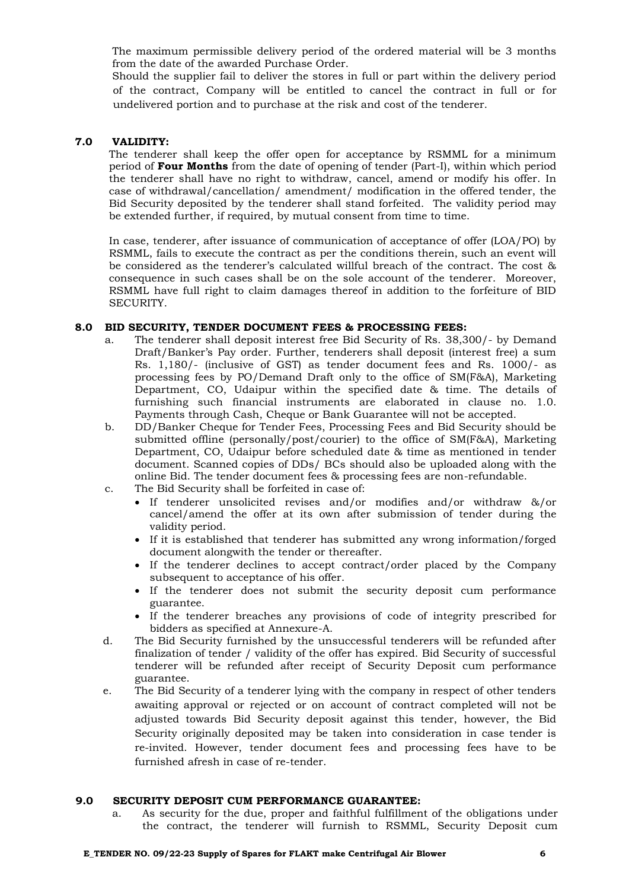The maximum permissible delivery period of the ordered material will be 3 months from the date of the awarded Purchase Order.

Should the supplier fail to deliver the stores in full or part within the delivery period of the contract, Company will be entitled to cancel the contract in full or for undelivered portion and to purchase at the risk and cost of the tenderer.

#### **7.0 VALIDITY:**

The tenderer shall keep the offer open for acceptance by RSMML for a minimum period of **Four Months** from the date of opening of tender (Part-I), within which period the tenderer shall have no right to withdraw, cancel, amend or modify his offer. In case of withdrawal/cancellation/ amendment/ modification in the offered tender, the Bid Security deposited by the tenderer shall stand forfeited. The validity period may be extended further, if required, by mutual consent from time to time.

In case, tenderer, after issuance of communication of acceptance of offer (LOA/PO) by RSMML, fails to execute the contract as per the conditions therein, such an event will be considered as the tenderer's calculated willful breach of the contract. The cost & consequence in such cases shall be on the sole account of the tenderer. Moreover, RSMML have full right to claim damages thereof in addition to the forfeiture of BID SECURITY.

#### **8.0 BID SECURITY, TENDER DOCUMENT FEES & PROCESSING FEES:**

- a. The tenderer shall deposit interest free Bid Security of Rs. 38,300/- by Demand Draft/Banker's Pay order. Further, tenderers shall deposit (interest free) a sum Rs. 1,180/- (inclusive of GST) as tender document fees and Rs. 1000/- as processing fees by PO/Demand Draft only to the office of SM(F&A), Marketing Department, CO, Udaipur within the specified date & time. The details of furnishing such financial instruments are elaborated in clause no. 1.0. Payments through Cash, Cheque or Bank Guarantee will not be accepted.
- b. DD/Banker Cheque for Tender Fees, Processing Fees and Bid Security should be submitted offline (personally/post/courier) to the office of SM(F&A), Marketing Department, CO, Udaipur before scheduled date & time as mentioned in tender document. Scanned copies of DDs/ BCs should also be uploaded along with the online Bid. The tender document fees & processing fees are non-refundable.
- c. The Bid Security shall be forfeited in case of:
	- If tenderer unsolicited revises and/or modifies and/or withdraw &/or cancel/amend the offer at its own after submission of tender during the validity period.
	- If it is established that tenderer has submitted any wrong information/forged document alongwith the tender or thereafter.
	- If the tenderer declines to accept contract/order placed by the Company subsequent to acceptance of his offer.
	- If the tenderer does not submit the security deposit cum performance guarantee.
	- If the tenderer breaches any provisions of code of integrity prescribed for bidders as specified at Annexure-A.
- d. The Bid Security furnished by the unsuccessful tenderers will be refunded after finalization of tender / validity of the offer has expired. Bid Security of successful tenderer will be refunded after receipt of Security Deposit cum performance guarantee.
- e. The Bid Security of a tenderer lying with the company in respect of other tenders awaiting approval or rejected or on account of contract completed will not be adjusted towards Bid Security deposit against this tender, however, the Bid Security originally deposited may be taken into consideration in case tender is re-invited. However, tender document fees and processing fees have to be furnished afresh in case of re-tender.

#### **9.0 SECURITY DEPOSIT CUM PERFORMANCE GUARANTEE:**

a. As security for the due, proper and faithful fulfillment of the obligations under the contract, the tenderer will furnish to RSMML, Security Deposit cum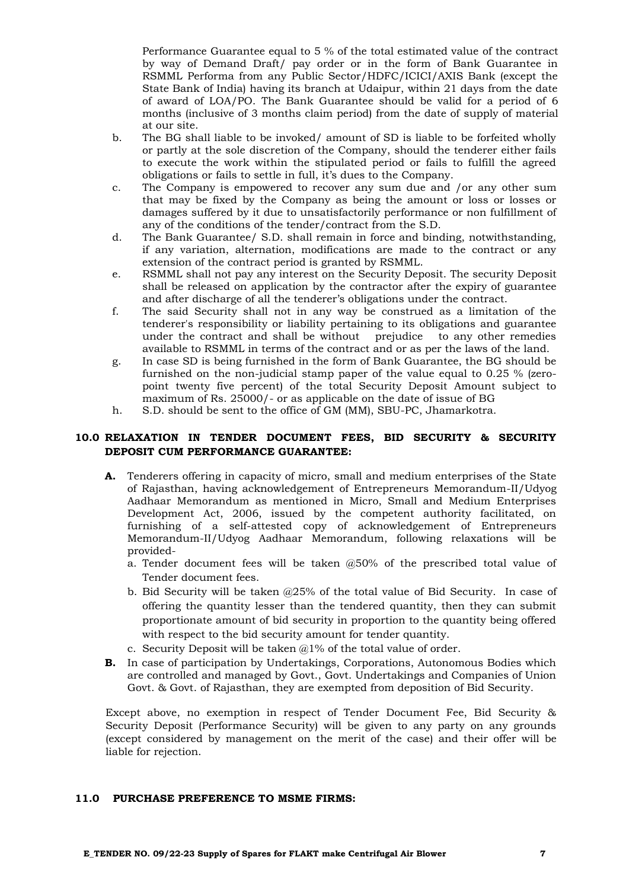Performance Guarantee equal to 5 % of the total estimated value of the contract by way of Demand Draft/ pay order or in the form of Bank Guarantee in RSMML Performa from any Public Sector/HDFC/ICICI/AXIS Bank (except the State Bank of India) having its branch at Udaipur, within 21 days from the date of award of LOA/PO. The Bank Guarantee should be valid for a period of 6 months (inclusive of 3 months claim period) from the date of supply of material at our site.

- b. The BG shall liable to be invoked/ amount of SD is liable to be forfeited wholly or partly at the sole discretion of the Company, should the tenderer either fails to execute the work within the stipulated period or fails to fulfill the agreed obligations or fails to settle in full, it's dues to the Company.
- c. The Company is empowered to recover any sum due and /or any other sum that may be fixed by the Company as being the amount or loss or losses or damages suffered by it due to unsatisfactorily performance or non fulfillment of any of the conditions of the tender/contract from the S.D.
- d. The Bank Guarantee/ S.D. shall remain in force and binding, notwithstanding, if any variation, alternation, modifications are made to the contract or any extension of the contract period is granted by RSMML.
- e. RSMML shall not pay any interest on the Security Deposit. The security Deposit shall be released on application by the contractor after the expiry of guarantee and after discharge of all the tenderer's obligations under the contract.
- f. The said Security shall not in any way be construed as a limitation of the tenderer's responsibility or liability pertaining to its obligations and guarantee under the contract and shall be without prejudice to any other remedies available to RSMML in terms of the contract and or as per the laws of the land.
- g. In case SD is being furnished in the form of Bank Guarantee, the BG should be furnished on the non-judicial stamp paper of the value equal to 0.25 % (zeropoint twenty five percent) of the total Security Deposit Amount subject to maximum of Rs. 25000/- or as applicable on the date of issue of BG
- h. S.D. should be sent to the office of GM (MM), SBU-PC, Jhamarkotra.

# **10.0 RELAXATION IN TENDER DOCUMENT FEES, BID SECURITY & SECURITY DEPOSIT CUM PERFORMANCE GUARANTEE:**

- **A.** Tenderers offering in capacity of micro, small and medium enterprises of the State of Rajasthan, having acknowledgement of Entrepreneurs Memorandum-II/Udyog Aadhaar Memorandum as mentioned in Micro, Small and Medium Enterprises Development Act, 2006, issued by the competent authority facilitated, on furnishing of a self-attested copy of acknowledgement of Entrepreneurs Memorandum-II/Udyog Aadhaar Memorandum, following relaxations will be provided
	- a. Tender document fees will be taken @50% of the prescribed total value of Tender document fees.
	- b. Bid Security will be taken @25% of the total value of Bid Security. In case of offering the quantity lesser than the tendered quantity, then they can submit proportionate amount of bid security in proportion to the quantity being offered with respect to the bid security amount for tender quantity.
	- c. Security Deposit will be taken  $a1\%$  of the total value of order.
- **B.** In case of participation by Undertakings, Corporations, Autonomous Bodies which are controlled and managed by Govt., Govt. Undertakings and Companies of Union Govt. & Govt. of Rajasthan, they are exempted from deposition of Bid Security.

Except above, no exemption in respect of Tender Document Fee, Bid Security & Security Deposit (Performance Security) will be given to any party on any grounds (except considered by management on the merit of the case) and their offer will be liable for rejection.

# **11.0 PURCHASE PREFERENCE TO MSME FIRMS:**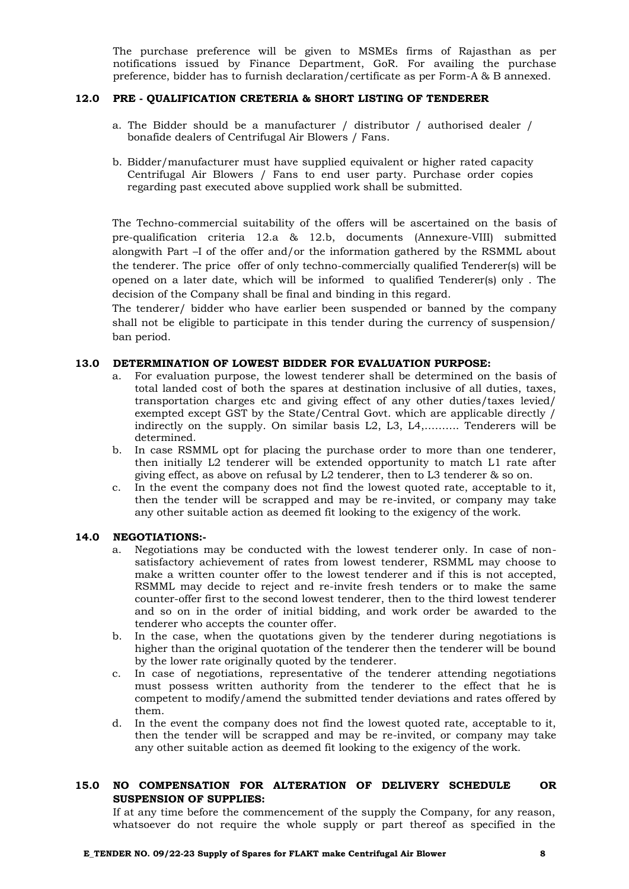The purchase preference will be given to MSMEs firms of Rajasthan as per notifications issued by Finance Department, GoR. For availing the purchase preference, bidder has to furnish declaration/certificate as per Form-A & B annexed.

## **12.0 PRE - QUALIFICATION CRETERIA & SHORT LISTING OF TENDERER**

- a. The Bidder should be a manufacturer / distributor / authorised dealer / bonafide dealers of Centrifugal Air Blowers / Fans.
- b. Bidder/manufacturer must have supplied equivalent or higher rated capacity Centrifugal Air Blowers / Fans to end user party. Purchase order copies regarding past executed above supplied work shall be submitted.

The Techno-commercial suitability of the offers will be ascertained on the basis of pre-qualification criteria 12.a & 12.b, documents (Annexure-VIII) submitted alongwith Part –I of the offer and/or the information gathered by the RSMML about the tenderer. The price offer of only techno-commercially qualified Tenderer(s) will be opened on a later date, which will be informed to qualified Tenderer(s) only . The decision of the Company shall be final and binding in this regard.

The tenderer/ bidder who have earlier been suspended or banned by the company shall not be eligible to participate in this tender during the currency of suspension/ ban period.

#### **13.0 DETERMINATION OF LOWEST BIDDER FOR EVALUATION PURPOSE:**

- a. For evaluation purpose, the lowest tenderer shall be determined on the basis of total landed cost of both the spares at destination inclusive of all duties, taxes, transportation charges etc and giving effect of any other duties/taxes levied/ exempted except GST by the State/Central Govt. which are applicable directly / indirectly on the supply. On similar basis L2, L3, L4,………. Tenderers will be determined.
- b. In case RSMML opt for placing the purchase order to more than one tenderer, then initially L2 tenderer will be extended opportunity to match L1 rate after giving effect, as above on refusal by L2 tenderer, then to L3 tenderer & so on.
- c. In the event the company does not find the lowest quoted rate, acceptable to it, then the tender will be scrapped and may be re-invited, or company may take any other suitable action as deemed fit looking to the exigency of the work.

#### **14.0 NEGOTIATIONS:-**

- a. Negotiations may be conducted with the lowest tenderer only. In case of nonsatisfactory achievement of rates from lowest tenderer, RSMML may choose to make a written counter offer to the lowest tenderer and if this is not accepted, RSMML may decide to reject and re-invite fresh tenders or to make the same counter-offer first to the second lowest tenderer, then to the third lowest tenderer and so on in the order of initial bidding, and work order be awarded to the tenderer who accepts the counter offer.
- b. In the case, when the quotations given by the tenderer during negotiations is higher than the original quotation of the tenderer then the tenderer will be bound by the lower rate originally quoted by the tenderer.
- c. In case of negotiations, representative of the tenderer attending negotiations must possess written authority from the tenderer to the effect that he is competent to modify/amend the submitted tender deviations and rates offered by them.
- d. In the event the company does not find the lowest quoted rate, acceptable to it, then the tender will be scrapped and may be re-invited, or company may take any other suitable action as deemed fit looking to the exigency of the work.

# **15.0 NO COMPENSATION FOR ALTERATION OF DELIVERY SCHEDULE OR SUSPENSION OF SUPPLIES:**

If at any time before the commencement of the supply the Company, for any reason, whatsoever do not require the whole supply or part thereof as specified in the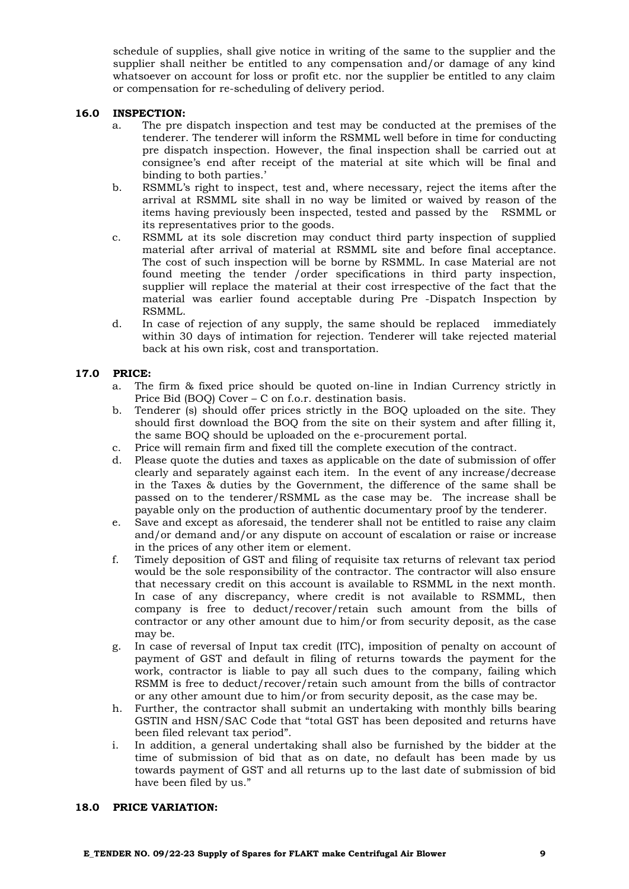schedule of supplies, shall give notice in writing of the same to the supplier and the supplier shall neither be entitled to any compensation and/or damage of any kind whatsoever on account for loss or profit etc. nor the supplier be entitled to any claim or compensation for re-scheduling of delivery period.

#### **16.0 INSPECTION:**

- a. The pre dispatch inspection and test may be conducted at the premises of the tenderer. The tenderer will inform the RSMML well before in time for conducting pre dispatch inspection. However, the final inspection shall be carried out at consignee's end after receipt of the material at site which will be final and binding to both parties.'
- b. RSMML's right to inspect, test and, where necessary, reject the items after the arrival at RSMML site shall in no way be limited or waived by reason of the items having previously been inspected, tested and passed by the RSMML or its representatives prior to the goods.
- c. RSMML at its sole discretion may conduct third party inspection of supplied material after arrival of material at RSMML site and before final acceptance. The cost of such inspection will be borne by RSMML. In case Material are not found meeting the tender /order specifications in third party inspection, supplier will replace the material at their cost irrespective of the fact that the material was earlier found acceptable during Pre -Dispatch Inspection by RSMML.
- d. In case of rejection of any supply, the same should be replaced immediately within 30 days of intimation for rejection. Tenderer will take rejected material back at his own risk, cost and transportation.

# **17.0 PRICE:**

- a. The firm & fixed price should be quoted on-line in Indian Currency strictly in Price Bid (BOQ) Cover – C on f.o.r. destination basis.
- b. Tenderer (s) should offer prices strictly in the BOQ uploaded on the site. They should first download the BOQ from the site on their system and after filling it, the same BOQ should be uploaded on the e-procurement portal.
- c. Price will remain firm and fixed till the complete execution of the contract.
- d. Please quote the duties and taxes as applicable on the date of submission of offer clearly and separately against each item. In the event of any increase/decrease in the Taxes & duties by the Government, the difference of the same shall be passed on to the tenderer/RSMML as the case may be. The increase shall be payable only on the production of authentic documentary proof by the tenderer.
- e. Save and except as aforesaid, the tenderer shall not be entitled to raise any claim and/or demand and/or any dispute on account of escalation or raise or increase in the prices of any other item or element.
- f. Timely deposition of GST and filing of requisite tax returns of relevant tax period would be the sole responsibility of the contractor. The contractor will also ensure that necessary credit on this account is available to RSMML in the next month. In case of any discrepancy, where credit is not available to RSMML, then company is free to deduct/recover/retain such amount from the bills of contractor or any other amount due to him/or from security deposit, as the case may be.
- g. In case of reversal of Input tax credit (ITC), imposition of penalty on account of payment of GST and default in filing of returns towards the payment for the work, contractor is liable to pay all such dues to the company, failing which RSMM is free to deduct/recover/retain such amount from the bills of contractor or any other amount due to him/or from security deposit, as the case may be.
- h. Further, the contractor shall submit an undertaking with monthly bills bearing GSTIN and HSN/SAC Code that "total GST has been deposited and returns have been filed relevant tax period".
- i. In addition, a general undertaking shall also be furnished by the bidder at the time of submission of bid that as on date, no default has been made by us towards payment of GST and all returns up to the last date of submission of bid have been filed by us."

#### **18.0 PRICE VARIATION:**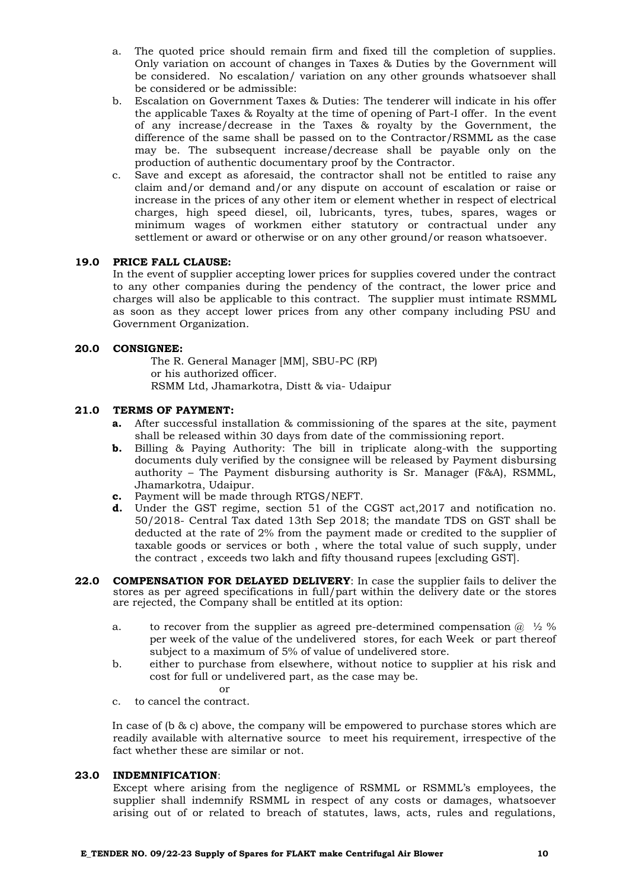- a. The quoted price should remain firm and fixed till the completion of supplies. Only variation on account of changes in Taxes & Duties by the Government will be considered. No escalation/ variation on any other grounds whatsoever shall be considered or be admissible:
- b. Escalation on Government Taxes & Duties: The tenderer will indicate in his offer the applicable Taxes & Royalty at the time of opening of Part-I offer. In the event of any increase/decrease in the Taxes & royalty by the Government, the difference of the same shall be passed on to the Contractor/RSMML as the case may be. The subsequent increase/decrease shall be payable only on the production of authentic documentary proof by the Contractor.
- c. Save and except as aforesaid, the contractor shall not be entitled to raise any claim and/or demand and/or any dispute on account of escalation or raise or increase in the prices of any other item or element whether in respect of electrical charges, high speed diesel, oil, lubricants, tyres, tubes, spares, wages or minimum wages of workmen either statutory or contractual under any settlement or award or otherwise or on any other ground/or reason whatsoever.

# **19.0 PRICE FALL CLAUSE:**

In the event of supplier accepting lower prices for supplies covered under the contract to any other companies during the pendency of the contract, the lower price and charges will also be applicable to this contract. The supplier must intimate RSMML as soon as they accept lower prices from any other company including PSU and Government Organization.

#### **20.0 CONSIGNEE:**

The R. General Manager [MM], SBU-PC (RP) or his authorized officer. RSMM Ltd, Jhamarkotra, Distt & via- Udaipur

# **21.0 TERMS OF PAYMENT:**

- **a.** After successful installation & commissioning of the spares at the site, payment shall be released within 30 days from date of the commissioning report.
- **b.** Billing & Paying Authority: The bill in triplicate along-with the supporting documents duly verified by the consignee will be released by Payment disbursing authority – The Payment disbursing authority is Sr. Manager (F&A), RSMML, Jhamarkotra, Udaipur.
- **c.** Payment will be made through RTGS/NEFT.
- **d.** Under the GST regime, section 51 of the CGST act,2017 and notification no. 50/2018- Central Tax dated 13th Sep 2018; the mandate TDS on GST shall be deducted at the rate of 2% from the payment made or credited to the supplier of taxable goods or services or both , where the total value of such supply, under the contract , exceeds two lakh and fifty thousand rupees [excluding GST].
- **22.0 COMPENSATION FOR DELAYED DELIVERY**: In case the supplier fails to deliver the stores as per agreed specifications in full/part within the delivery date or the stores are rejected, the Company shall be entitled at its option:
	- a. to recover from the supplier as agreed pre-determined compensation  $\omega$   $\frac{1}{2}$  % per week of the value of the undelivered stores, for each Week or part thereof subject to a maximum of 5% of value of undelivered store.
	- b. either to purchase from elsewhere, without notice to supplier at his risk and cost for full or undelivered part, as the case may be.
	- or c. to cancel the contract.

In case of (b & c) above, the company will be empowered to purchase stores which are readily available with alternative source to meet his requirement, irrespective of the fact whether these are similar or not.

#### **23.0 INDEMNIFICATION**:

Except where arising from the negligence of RSMML or RSMML's employees, the supplier shall indemnify RSMML in respect of any costs or damages, whatsoever arising out of or related to breach of statutes, laws, acts, rules and regulations,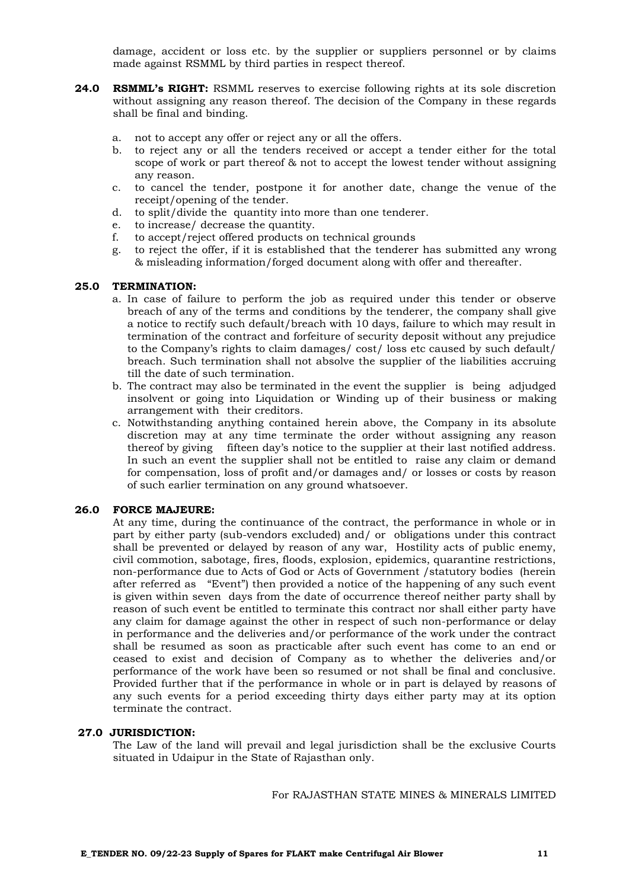damage, accident or loss etc. by the supplier or suppliers personnel or by claims made against RSMML by third parties in respect thereof.

- **24.0 RSMML's RIGHT:** RSMML reserves to exercise following rights at its sole discretion without assigning any reason thereof. The decision of the Company in these regards shall be final and binding.
	- a. not to accept any offer or reject any or all the offers.
	- b. to reject any or all the tenders received or accept a tender either for the total scope of work or part thereof & not to accept the lowest tender without assigning any reason.
	- c. to cancel the tender, postpone it for another date, change the venue of the receipt/opening of the tender.
	- d. to split/divide the quantity into more than one tenderer.
	- e. to increase/ decrease the quantity.
	- f. to accept/reject offered products on technical grounds
	- g. to reject the offer, if it is established that the tenderer has submitted any wrong & misleading information/forged document along with offer and thereafter.

#### **25.0 TERMINATION:**

- a. In case of failure to perform the job as required under this tender or observe breach of any of the terms and conditions by the tenderer, the company shall give a notice to rectify such default/breach with 10 days, failure to which may result in termination of the contract and forfeiture of security deposit without any prejudice to the Company's rights to claim damages/ cost/ loss etc caused by such default/ breach. Such termination shall not absolve the supplier of the liabilities accruing till the date of such termination.
- b. The contract may also be terminated in the event the supplier is being adjudged insolvent or going into Liquidation or Winding up of their business or making arrangement with their creditors.
- c. Notwithstanding anything contained herein above, the Company in its absolute discretion may at any time terminate the order without assigning any reason thereof by giving fifteen day's notice to the supplier at their last notified address. In such an event the supplier shall not be entitled to raise any claim or demand for compensation, loss of profit and/or damages and/ or losses or costs by reason of such earlier termination on any ground whatsoever.

#### **26.0 FORCE MAJEURE:**

At any time, during the continuance of the contract, the performance in whole or in part by either party (sub-vendors excluded) and/ or obligations under this contract shall be prevented or delayed by reason of any war, Hostility acts of public enemy, civil commotion, sabotage, fires, floods, explosion, epidemics, quarantine restrictions, non-performance due to Acts of God or Acts of Government /statutory bodies (herein after referred as "Event") then provided a notice of the happening of any such event is given within seven days from the date of occurrence thereof neither party shall by reason of such event be entitled to terminate this contract nor shall either party have any claim for damage against the other in respect of such non-performance or delay in performance and the deliveries and/or performance of the work under the contract shall be resumed as soon as practicable after such event has come to an end or ceased to exist and decision of Company as to whether the deliveries and/or performance of the work have been so resumed or not shall be final and conclusive. Provided further that if the performance in whole or in part is delayed by reasons of any such events for a period exceeding thirty days either party may at its option terminate the contract.

#### **27.0 JURISDICTION:**

The Law of the land will prevail and legal jurisdiction shall be the exclusive Courts situated in Udaipur in the State of Rajasthan only.

For RAJASTHAN STATE MINES & MINERALS LIMITED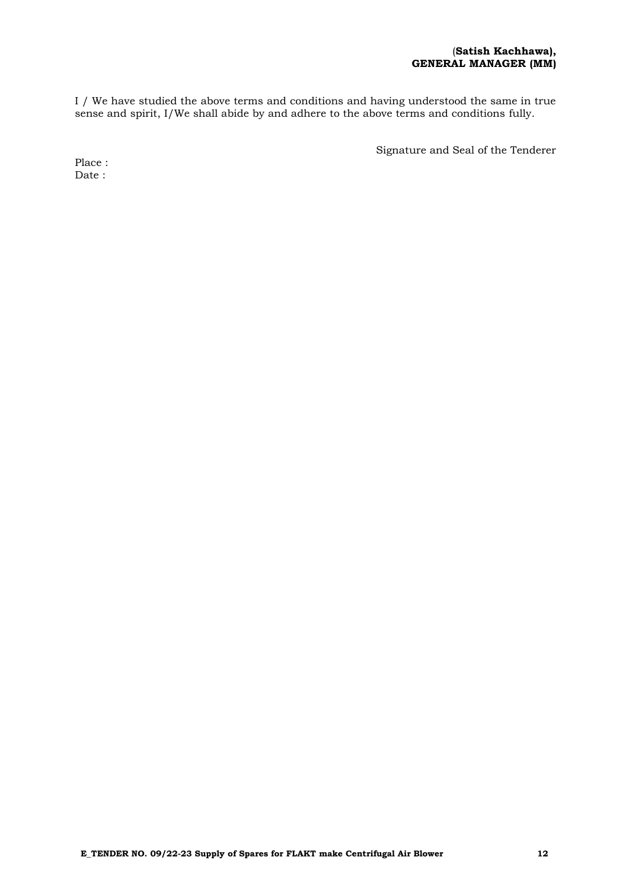I / We have studied the above terms and conditions and having understood the same in true sense and spirit, I/We shall abide by and adhere to the above terms and conditions fully.

Signature and Seal of the Tenderer

Place : Date :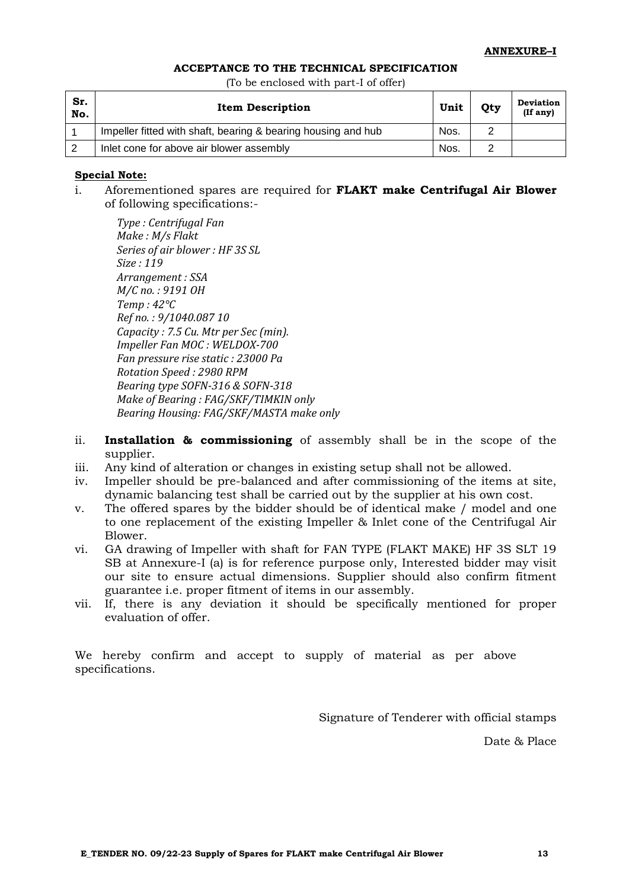#### **ACCEPTANCE TO THE TECHNICAL SPECIFICATION**

(To be enclosed with part-I of offer)

| Sr.<br>No. | <b>Item Description</b>                                       | Unit | Qty | <b>Deviation</b><br>(If any) |
|------------|---------------------------------------------------------------|------|-----|------------------------------|
|            | Impeller fitted with shaft, bearing & bearing housing and hub | Nos. |     |                              |
|            | Inlet cone for above air blower assembly                      | Nos. |     |                              |

# **Special Note:**

i. Aforementioned spares are required for **FLAKT make Centrifugal Air Blower**  of following specifications:-

*Type : Centrifugal Fan Make : M/s Flakt Series of air blower : HF 3S SL Size : 119 Arrangement : SSA M/C no. : 9191 OH Temp : 42°C Ref no. : 9/1040.087 10 Capacity : 7.5 Cu. Mtr per Sec (min). Impeller Fan MOC : WELDOX-700 Fan pressure rise static : 23000 Pa Rotation Speed : 2980 RPM Bearing type SOFN-316 & SOFN-318 Make of Bearing : FAG/SKF/TIMKIN only Bearing Housing: FAG/SKF/MASTA make only* 

- ii. **Installation & commissioning** of assembly shall be in the scope of the supplier.
- iii. Any kind of alteration or changes in existing setup shall not be allowed.
- iv. Impeller should be pre-balanced and after commissioning of the items at site, dynamic balancing test shall be carried out by the supplier at his own cost.
- v. The offered spares by the bidder should be of identical make / model and one to one replacement of the existing Impeller & Inlet cone of the Centrifugal Air Blower.
- vi. GA drawing of Impeller with shaft for FAN TYPE (FLAKT MAKE) HF 3S SLT 19 SB at Annexure-I (a) is for reference purpose only, Interested bidder may visit our site to ensure actual dimensions. Supplier should also confirm fitment guarantee i.e. proper fitment of items in our assembly.
- vii. If, there is any deviation it should be specifically mentioned for proper evaluation of offer.

We hereby confirm and accept to supply of material as per above specifications.

Signature of Tenderer with official stamps

Date & Place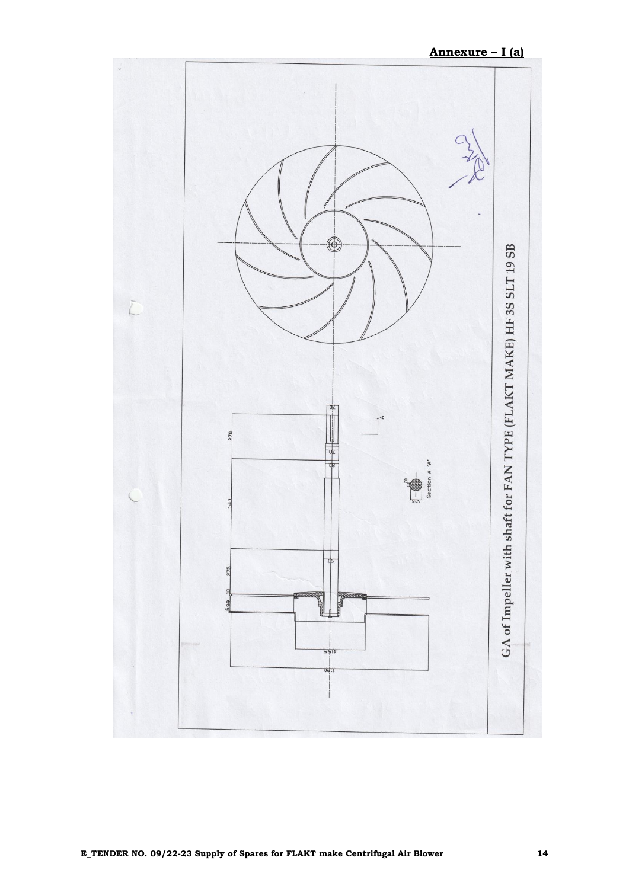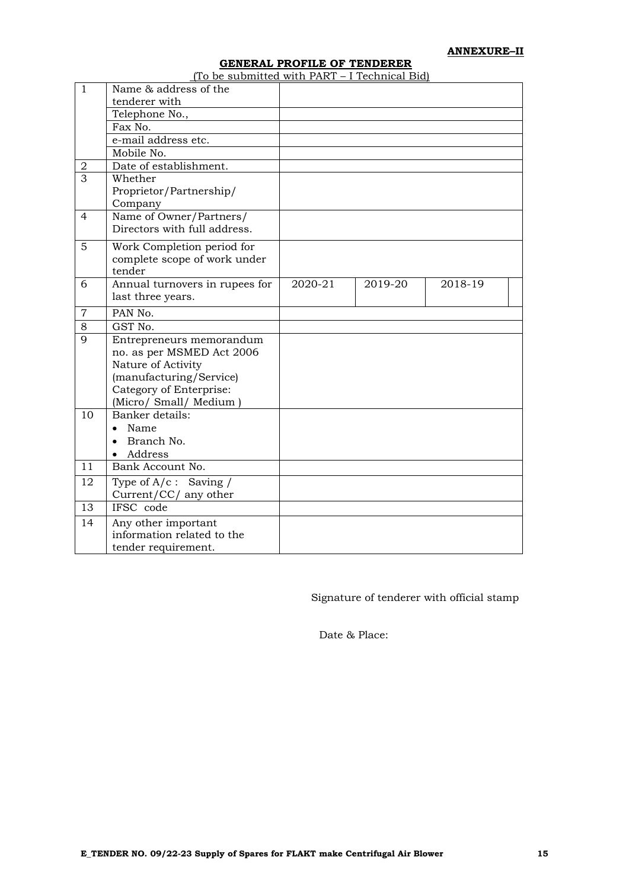**ANNEXURE–II**

# **GENERAL PROFILE OF TENDERER**

| $\mathbf{1}$   | Name & address of the          |         |         |         |  |
|----------------|--------------------------------|---------|---------|---------|--|
|                | tenderer with                  |         |         |         |  |
|                | Telephone No.,                 |         |         |         |  |
|                | Fax No.                        |         |         |         |  |
|                | e-mail address etc.            |         |         |         |  |
|                | Mobile No.                     |         |         |         |  |
| 2              | Date of establishment.         |         |         |         |  |
| 3              | Whether                        |         |         |         |  |
|                | Proprietor/Partnership/        |         |         |         |  |
|                | Company                        |         |         |         |  |
| $\overline{4}$ | Name of Owner/Partners/        |         |         |         |  |
|                | Directors with full address.   |         |         |         |  |
| 5              | Work Completion period for     |         |         |         |  |
|                | complete scope of work under   |         |         |         |  |
|                | tender                         |         |         |         |  |
| 6              | Annual turnovers in rupees for | 2020-21 | 2019-20 | 2018-19 |  |
|                |                                |         |         |         |  |
|                | last three years.              |         |         |         |  |
| $\overline{7}$ | PAN No.                        |         |         |         |  |
| 8              | GST No.                        |         |         |         |  |
| $\mathbf Q$    | Entrepreneurs memorandum       |         |         |         |  |
|                | no. as per MSMED Act 2006      |         |         |         |  |
|                | Nature of Activity             |         |         |         |  |
|                | (manufacturing/Service)        |         |         |         |  |
|                | Category of Enterprise:        |         |         |         |  |
|                | (Micro/ Small/ Medium)         |         |         |         |  |
| 10             | Banker details:                |         |         |         |  |
|                | Name                           |         |         |         |  |
|                | Branch No.                     |         |         |         |  |
|                | Address                        |         |         |         |  |
| 11             | Bank Account No.               |         |         |         |  |
| 12             | Type of $A/c$ : Saving /       |         |         |         |  |
|                | Current/CC/ any other          |         |         |         |  |
| 13             | IFSC code                      |         |         |         |  |
| 14             | Any other important            |         |         |         |  |
|                | information related to the     |         |         |         |  |
|                | tender requirement.            |         |         |         |  |

Signature of tenderer with official stamp

Date & Place: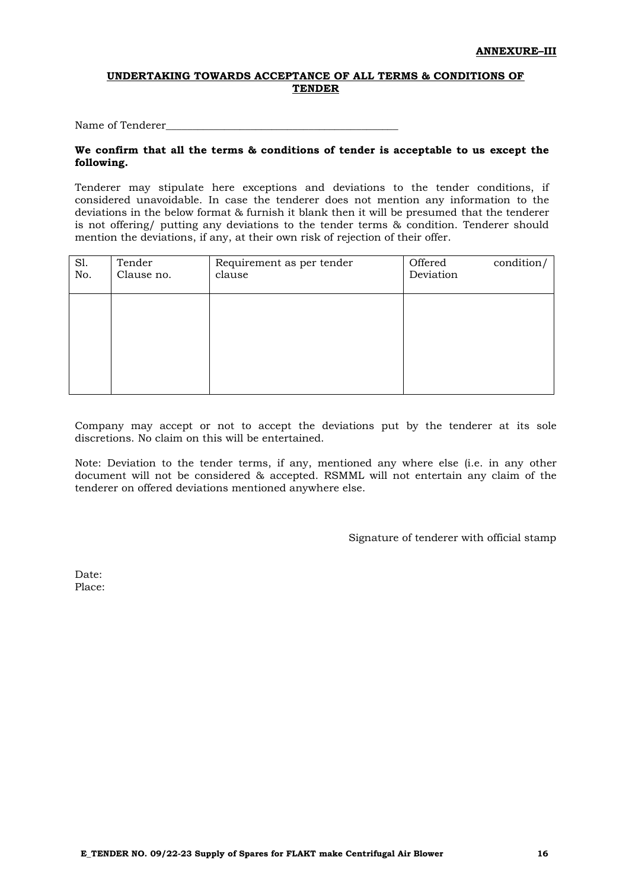#### **UNDERTAKING TOWARDS ACCEPTANCE OF ALL TERMS & CONDITIONS OF TENDER**

Name of Tenderer

#### **We confirm that all the terms & conditions of tender is acceptable to us except the following.**

Tenderer may stipulate here exceptions and deviations to the tender conditions, if considered unavoidable. In case the tenderer does not mention any information to the deviations in the below format & furnish it blank then it will be presumed that the tenderer is not offering/ putting any deviations to the tender terms & condition. Tenderer should mention the deviations, if any, at their own risk of rejection of their offer.

| SI.<br>No. | Tender<br>Clause no. | Requirement as per tender<br>clause | Offered<br>Deviation | condition/ |
|------------|----------------------|-------------------------------------|----------------------|------------|
|            |                      |                                     |                      |            |
|            |                      |                                     |                      |            |

Company may accept or not to accept the deviations put by the tenderer at its sole discretions. No claim on this will be entertained.

Note: Deviation to the tender terms, if any, mentioned any where else (i.e. in any other document will not be considered & accepted. RSMML will not entertain any claim of the tenderer on offered deviations mentioned anywhere else.

Signature of tenderer with official stamp

Date: Place: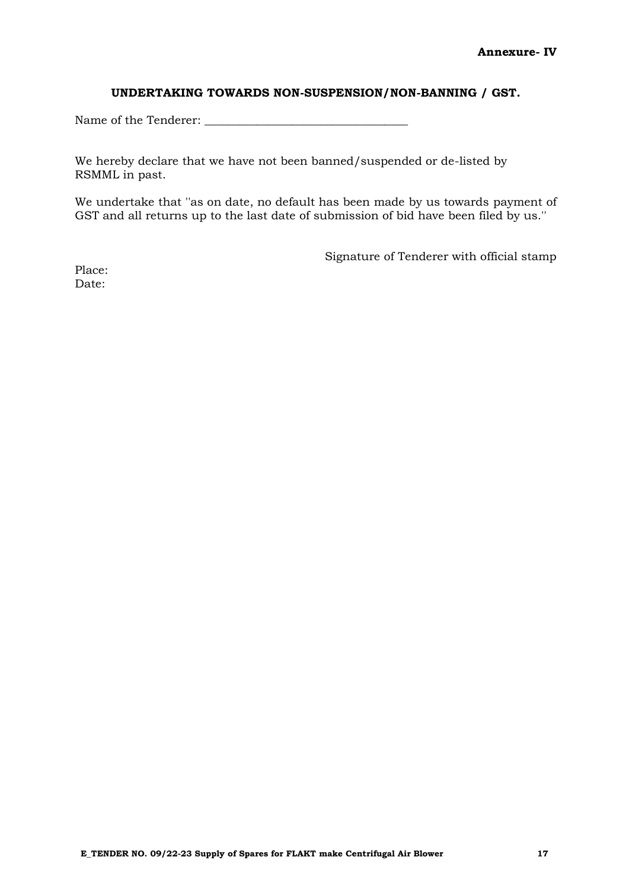#### **UNDERTAKING TOWARDS NON-SUSPENSION/NON-BANNING / GST.**

Name of the Tenderer: \_\_\_\_\_\_\_\_\_\_\_\_\_\_\_\_\_\_\_\_\_\_\_\_\_\_\_\_\_\_\_\_\_\_\_

We hereby declare that we have not been banned/suspended or de-listed by RSMML in past.

We undertake that ''as on date, no default has been made by us towards payment of GST and all returns up to the last date of submission of bid have been filed by us.''

Signature of Tenderer with official stamp

Place: Date: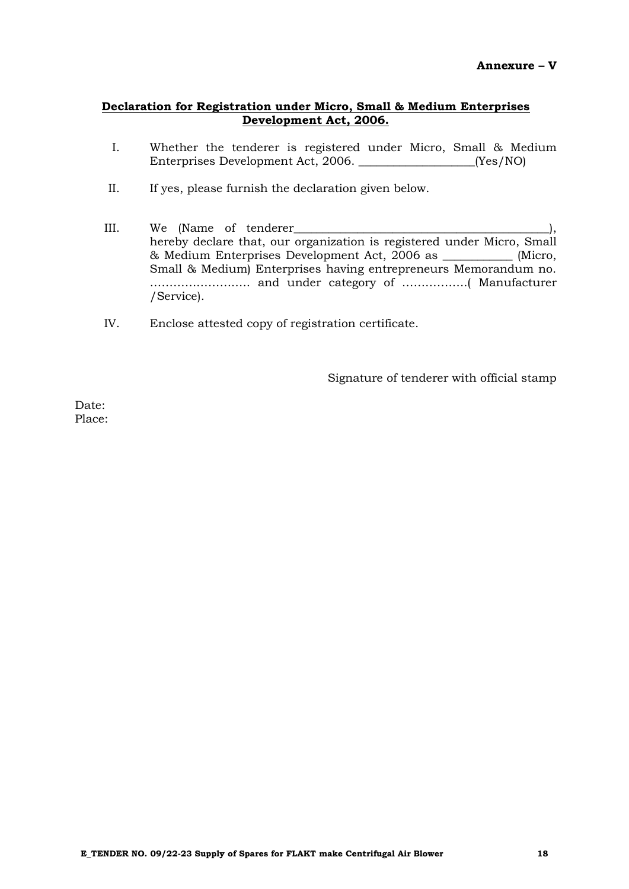# **Declaration for Registration under Micro, Small & Medium Enterprises Development Act, 2006.**

- I. Whether the tenderer is registered under Micro, Small & Medium Enterprises Development Act, 2006. \_\_\_\_\_\_\_\_\_\_\_\_\_\_\_\_\_\_\_\_(Yes/NO)
- II. If yes, please furnish the declaration given below.
- III. We (Name of tenderer\_\_\_\_\_\_\_\_\_\_\_\_\_\_\_\_\_\_\_\_\_\_\_\_\_\_\_\_\_\_\_\_\_\_\_\_\_\_\_\_\_\_\_\_), hereby declare that, our organization is registered under Micro, Small & Medium Enterprises Development Act, 2006 as \_\_\_\_\_\_\_\_\_\_\_\_ (Micro, Small & Medium) Enterprises having entrepreneurs Memorandum no. …………………….. and under category of ………….….( Manufacturer /Service).
- IV. Enclose attested copy of registration certificate.

Signature of tenderer with official stamp

Date: Place: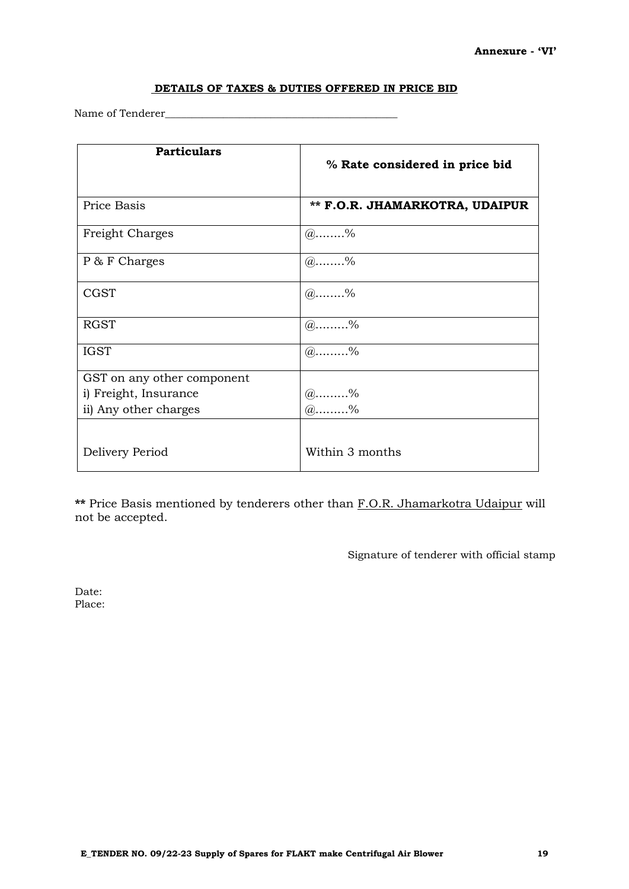# **DETAILS OF TAXES & DUTIES OFFERED IN PRICE BID**

Name of Tenderer\_\_\_\_\_\_\_\_\_\_\_\_\_\_\_\_\_\_\_\_\_\_\_\_\_\_\_\_\_\_\_\_\_\_\_\_\_\_\_\_\_\_\_\_

| <b>Particulars</b>         | % Rate considered in price bid        |
|----------------------------|---------------------------------------|
| Price Basis                | <b>** F.O.R. JHAMARKOTRA, UDAIPUR</b> |
| Freight Charges            | $(a)$ %                               |
| P & F Charges              | @96                                   |
| <b>CGST</b>                | $(a)$ %                               |
| <b>RGST</b>                | $(a)$ %                               |
| <b>IGST</b>                | $@ \dots . 96$                        |
| GST on any other component |                                       |
| i) Freight, Insurance      | $(a)$ %                               |
| ii) Any other charges      | $@ \dots 96$                          |
| Delivery Period            | Within 3 months                       |

**\*\*** Price Basis mentioned by tenderers other than F.O.R. Jhamarkotra Udaipur will not be accepted.

Signature of tenderer with official stamp

Date: Place: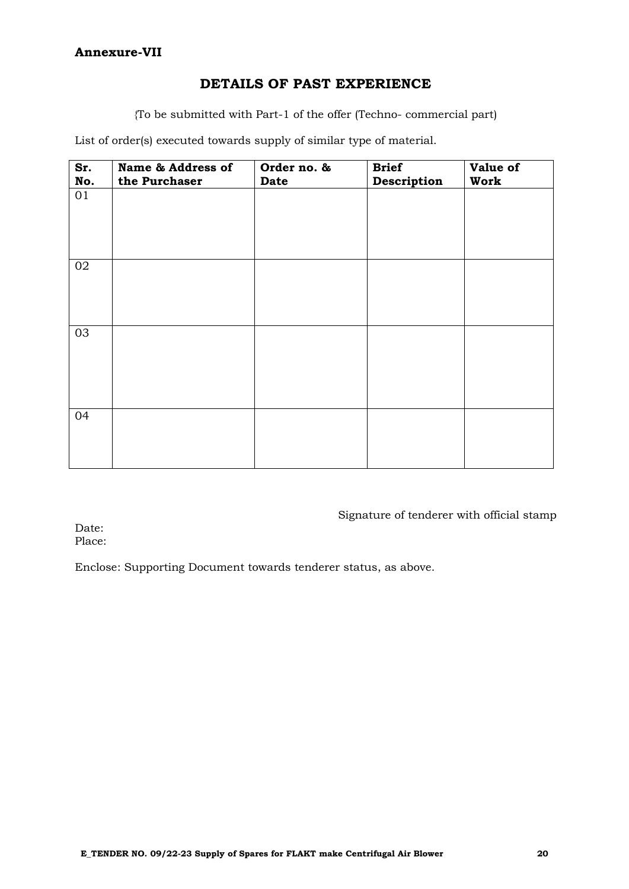# **DETAILS OF PAST EXPERIENCE**

{To be submitted with Part-1 of the offer (Techno- commercial part)

List of order(s) executed towards supply of similar type of material.

| Sr.<br>No. | Name & Address of<br>the Purchaser | Order no. &<br>Date | <b>Brief</b><br>Description | Value of<br>Work |
|------------|------------------------------------|---------------------|-----------------------------|------------------|
| 01         |                                    |                     |                             |                  |
| 02         |                                    |                     |                             |                  |
| 03         |                                    |                     |                             |                  |
| 04         |                                    |                     |                             |                  |

Signature of tenderer with official stamp

Date: Place:

Enclose: Supporting Document towards tenderer status, as above.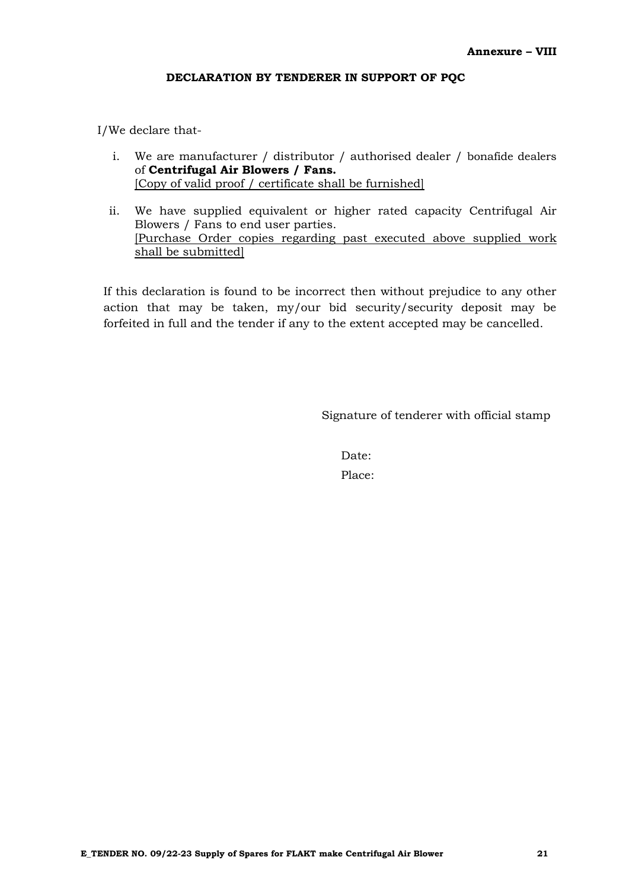# **DECLARATION BY TENDERER IN SUPPORT OF PQC**

I/We declare that-

- i. We are manufacturer / distributor / authorised dealer / bonafide dealers of **Centrifugal Air Blowers / Fans.** [Copy of valid proof / certificate shall be furnished]
- ii. We have supplied equivalent or higher rated capacity Centrifugal Air Blowers / Fans to end user parties. [Purchase Order copies regarding past executed above supplied work shall be submitted]

If this declaration is found to be incorrect then without prejudice to any other action that may be taken, my/our bid security/security deposit may be forfeited in full and the tender if any to the extent accepted may be cancelled.

Signature of tenderer with official stamp

Date: Place: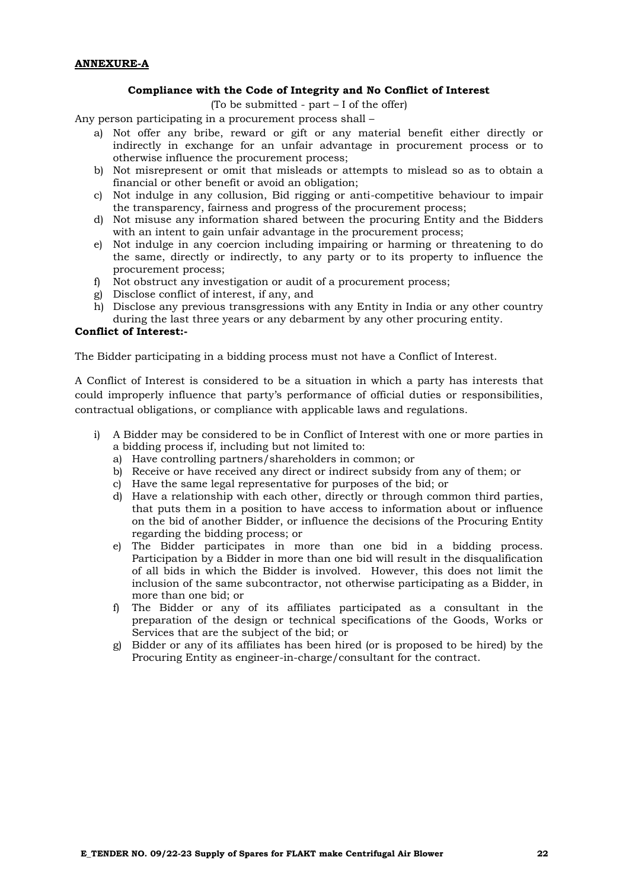#### **Compliance with the Code of Integrity and No Conflict of Interest**

(To be submitted - part – I of the offer)

Any person participating in a procurement process shall –

- a) Not offer any bribe, reward or gift or any material benefit either directly or indirectly in exchange for an unfair advantage in procurement process or to otherwise influence the procurement process;
- b) Not misrepresent or omit that misleads or attempts to mislead so as to obtain a financial or other benefit or avoid an obligation;
- c) Not indulge in any collusion, Bid rigging or anti-competitive behaviour to impair the transparency, fairness and progress of the procurement process;
- d) Not misuse any information shared between the procuring Entity and the Bidders with an intent to gain unfair advantage in the procurement process;
- e) Not indulge in any coercion including impairing or harming or threatening to do the same, directly or indirectly, to any party or to its property to influence the procurement process;
- f) Not obstruct any investigation or audit of a procurement process;
- g) Disclose conflict of interest, if any, and
- h) Disclose any previous transgressions with any Entity in India or any other country during the last three years or any debarment by any other procuring entity.

#### **Conflict of Interest:-**

The Bidder participating in a bidding process must not have a Conflict of Interest.

A Conflict of Interest is considered to be a situation in which a party has interests that could improperly influence that party's performance of official duties or responsibilities, contractual obligations, or compliance with applicable laws and regulations.

- i) A Bidder may be considered to be in Conflict of Interest with one or more parties in a bidding process if, including but not limited to:
	- a) Have controlling partners/shareholders in common; or
	- b) Receive or have received any direct or indirect subsidy from any of them; or
	- c) Have the same legal representative for purposes of the bid; or
	- d) Have a relationship with each other, directly or through common third parties, that puts them in a position to have access to information about or influence on the bid of another Bidder, or influence the decisions of the Procuring Entity regarding the bidding process; or
	- e) The Bidder participates in more than one bid in a bidding process. Participation by a Bidder in more than one bid will result in the disqualification of all bids in which the Bidder is involved. However, this does not limit the inclusion of the same subcontractor, not otherwise participating as a Bidder, in more than one bid; or
	- f) The Bidder or any of its affiliates participated as a consultant in the preparation of the design or technical specifications of the Goods, Works or Services that are the subject of the bid; or
	- g) Bidder or any of its affiliates has been hired (or is proposed to be hired) by the Procuring Entity as engineer-in-charge/consultant for the contract.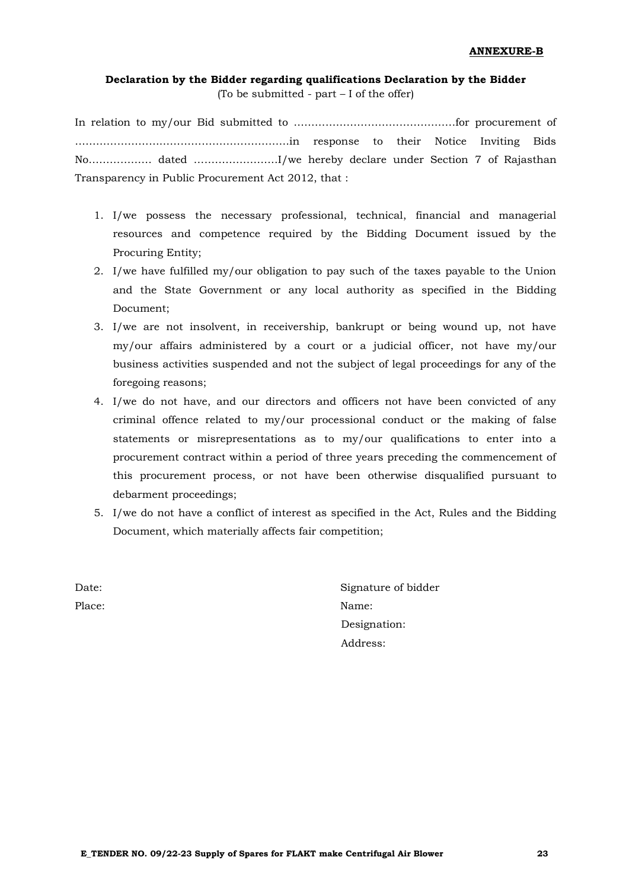# **Declaration by the Bidder regarding qualifications Declaration by the Bidder** (To be submitted - part – I of the offer)

In relation to my/our Bid submitted to ……………………………………….for procurement of …………………………………………………….in response to their Notice Inviting Bids No……………… dated ……………………I/we hereby declare under Section 7 of Rajasthan Transparency in Public Procurement Act 2012, that :

- 1. I/we possess the necessary professional, technical, financial and managerial resources and competence required by the Bidding Document issued by the Procuring Entity;
- 2. I/we have fulfilled my/our obligation to pay such of the taxes payable to the Union and the State Government or any local authority as specified in the Bidding Document;
- 3. I/we are not insolvent, in receivership, bankrupt or being wound up, not have my/our affairs administered by a court or a judicial officer, not have my/our business activities suspended and not the subject of legal proceedings for any of the foregoing reasons;
- 4. I/we do not have, and our directors and officers not have been convicted of any criminal offence related to my/our processional conduct or the making of false statements or misrepresentations as to my/our qualifications to enter into a procurement contract within a period of three years preceding the commencement of this procurement process, or not have been otherwise disqualified pursuant to debarment proceedings;
- 5. I/we do not have a conflict of interest as specified in the Act, Rules and the Bidding Document, which materially affects fair competition;

Date: Signature of bidder Place: Name: Name: Name: Name: Name: Name: Name: Name: Name: Name: Name: Name: Name: Name: Name: Name: Name: Name: Name: Name: Name: Name: Name: Name: Name: Name: Name: Name: Name: Name: Name: Name: Name: Name: Name: Name: Designation: Address: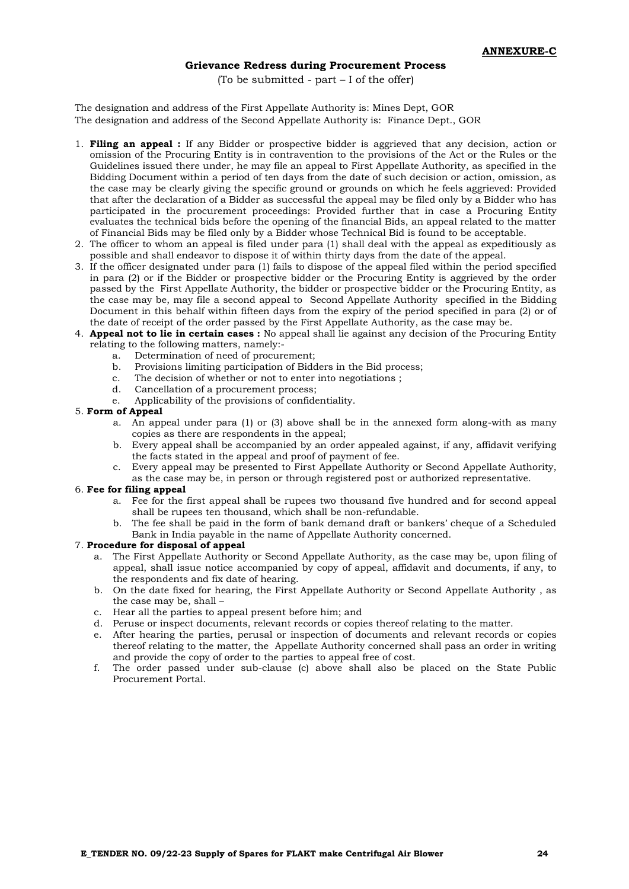#### **Grievance Redress during Procurement Process**

(To be submitted - part – I of the offer)

The designation and address of the First Appellate Authority is: Mines Dept, GOR The designation and address of the Second Appellate Authority is: Finance Dept., GOR

- 1. **Filing an appeal :** If any Bidder or prospective bidder is aggrieved that any decision, action or omission of the Procuring Entity is in contravention to the provisions of the Act or the Rules or the Guidelines issued there under, he may file an appeal to First Appellate Authority, as specified in the Bidding Document within a period of ten days from the date of such decision or action, omission, as the case may be clearly giving the specific ground or grounds on which he feels aggrieved: Provided that after the declaration of a Bidder as successful the appeal may be filed only by a Bidder who has participated in the procurement proceedings: Provided further that in case a Procuring Entity evaluates the technical bids before the opening of the financial Bids, an appeal related to the matter of Financial Bids may be filed only by a Bidder whose Technical Bid is found to be acceptable.
- 2. The officer to whom an appeal is filed under para (1) shall deal with the appeal as expeditiously as possible and shall endeavor to dispose it of within thirty days from the date of the appeal.
- 3. If the officer designated under para (1) fails to dispose of the appeal filed within the period specified in para (2) or if the Bidder or prospective bidder or the Procuring Entity is aggrieved by the order passed by the First Appellate Authority, the bidder or prospective bidder or the Procuring Entity, as the case may be, may file a second appeal to Second Appellate Authority specified in the Bidding Document in this behalf within fifteen days from the expiry of the period specified in para (2) or of the date of receipt of the order passed by the First Appellate Authority, as the case may be.
- 4. **Appeal not to lie in certain cases :** No appeal shall lie against any decision of the Procuring Entity relating to the following matters, namely:
	- a. Determination of need of procurement;<br>b. Provisions limiting participation of Bidd
	- b. Provisions limiting participation of Bidders in the Bid process;
	- c. The decision of whether or not to enter into negotiations ;
	- d. Cancellation of a procurement process;
	- e. Applicability of the provisions of confidentiality.

#### 5. **Form of Appeal**

- a. An appeal under para (1) or (3) above shall be in the annexed form along-with as many copies as there are respondents in the appeal;
- b. Every appeal shall be accompanied by an order appealed against, if any, affidavit verifying the facts stated in the appeal and proof of payment of fee.
- c. Every appeal may be presented to First Appellate Authority or Second Appellate Authority, as the case may be, in person or through registered post or authorized representative.

#### 6. **Fee for filing appeal**

- a. Fee for the first appeal shall be rupees two thousand five hundred and for second appeal shall be rupees ten thousand, which shall be non-refundable.
- b. The fee shall be paid in the form of bank demand draft or bankers' cheque of a Scheduled Bank in India payable in the name of Appellate Authority concerned.

#### 7. **Procedure for disposal of appeal**

- a. The First Appellate Authority or Second Appellate Authority, as the case may be, upon filing of appeal, shall issue notice accompanied by copy of appeal, affidavit and documents, if any, to the respondents and fix date of hearing.
- b. On the date fixed for hearing, the First Appellate Authority or Second Appellate Authority , as the case may be, shall –
- c. Hear all the parties to appeal present before him; and
- d. Peruse or inspect documents, relevant records or copies thereof relating to the matter.
- e. After hearing the parties, perusal or inspection of documents and relevant records or copies thereof relating to the matter, the Appellate Authority concerned shall pass an order in writing and provide the copy of order to the parties to appeal free of cost.
- f. The order passed under sub-clause (c) above shall also be placed on the State Public Procurement Portal.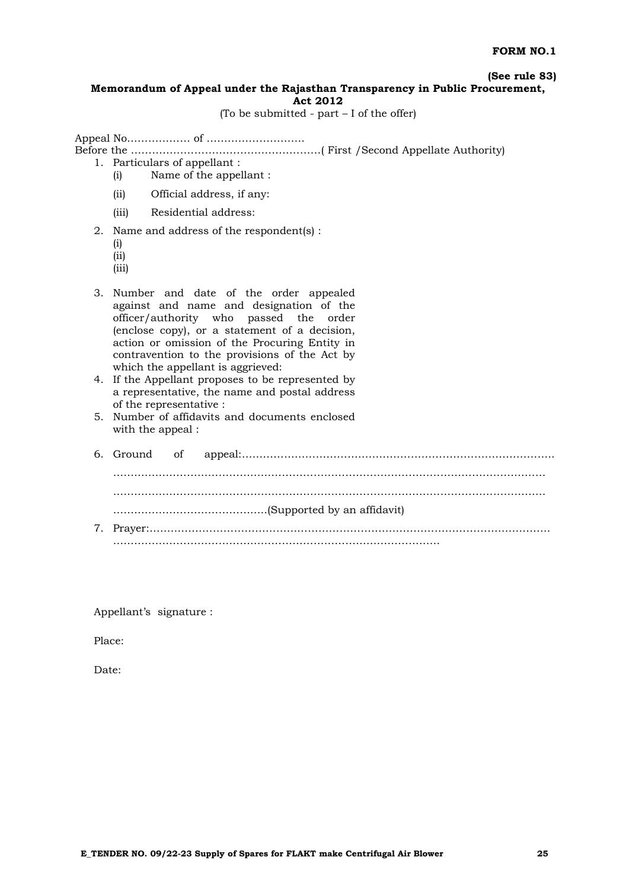**(See rule 83)**

#### **Memorandum of Appeal under the Rajasthan Transparency in Public Procurement, Act 2012**

(To be submitted - part  $-I$  of the offer)

Appeal No……………… of ……………………….

Before the ………………………………………………( First /Second Appellate Authority)

- 1. Particulars of appellant :
	- (i) Name of the appellant :
	- (ii) Official address, if any:
	- (iii) Residential address:
- 2. Name and address of the respondent(s) :
	- (i)
	- (ii)
	- (iii)
	-
- 3. Number and date of the order appealed against and name and designation of the officer/authority who passed the order (enclose copy), or a statement of a decision, action or omission of the Procuring Entity in contravention to the provisions of the Act by which the appellant is aggrieved:
- 4. If the Appellant proposes to be represented by a representative, the name and postal address of the representative :
- 5. Number of affidavits and documents enclosed with the appeal :
- 6. Ground of appeal:…………………………………………………………………………….. …………………………………………………………………………………………………………… …………………………………………………………………………………………………………… ……………………………………..(Supported by an affidavit) 7. Prayer:…………………………………………………………………………………………………… …………………………………………………………………………………

Appellant's signature :

Place:

Date: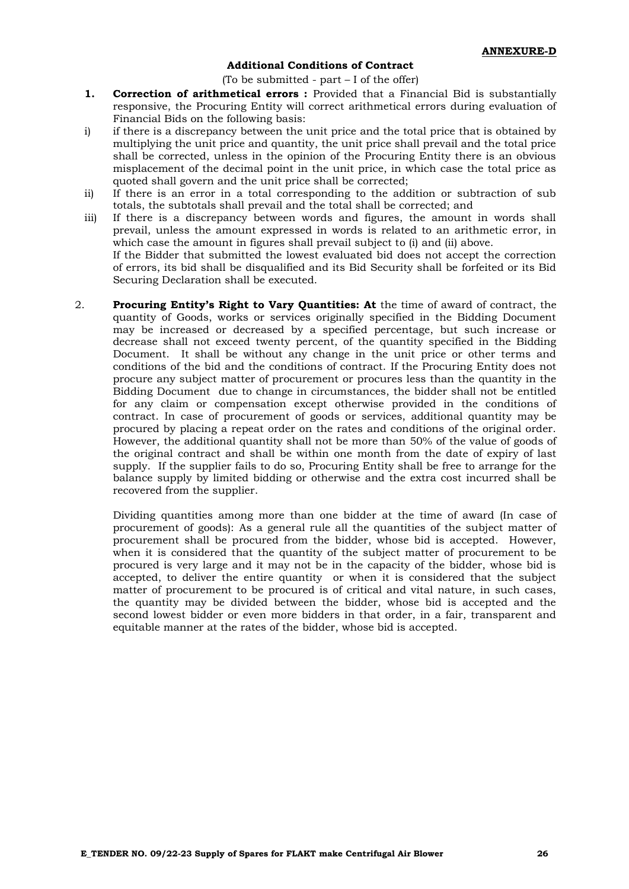#### **Additional Conditions of Contract**

(To be submitted - part  $-I$  of the offer)

- **1. Correction of arithmetical errors :** Provided that a Financial Bid is substantially responsive, the Procuring Entity will correct arithmetical errors during evaluation of Financial Bids on the following basis:
- i) if there is a discrepancy between the unit price and the total price that is obtained by multiplying the unit price and quantity, the unit price shall prevail and the total price shall be corrected, unless in the opinion of the Procuring Entity there is an obvious misplacement of the decimal point in the unit price, in which case the total price as quoted shall govern and the unit price shall be corrected;
- ii) If there is an error in a total corresponding to the addition or subtraction of sub totals, the subtotals shall prevail and the total shall be corrected; and
- iii) If there is a discrepancy between words and figures, the amount in words shall prevail, unless the amount expressed in words is related to an arithmetic error, in which case the amount in figures shall prevail subject to (i) and (ii) above. If the Bidder that submitted the lowest evaluated bid does not accept the correction of errors, its bid shall be disqualified and its Bid Security shall be forfeited or its Bid Securing Declaration shall be executed.
- 2. **Procuring Entity's Right to Vary Quantities: At** the time of award of contract, the quantity of Goods, works or services originally specified in the Bidding Document may be increased or decreased by a specified percentage, but such increase or decrease shall not exceed twenty percent, of the quantity specified in the Bidding Document. It shall be without any change in the unit price or other terms and conditions of the bid and the conditions of contract. If the Procuring Entity does not procure any subject matter of procurement or procures less than the quantity in the Bidding Document due to change in circumstances, the bidder shall not be entitled for any claim or compensation except otherwise provided in the conditions of contract. In case of procurement of goods or services, additional quantity may be procured by placing a repeat order on the rates and conditions of the original order. However, the additional quantity shall not be more than 50% of the value of goods of the original contract and shall be within one month from the date of expiry of last supply. If the supplier fails to do so, Procuring Entity shall be free to arrange for the balance supply by limited bidding or otherwise and the extra cost incurred shall be recovered from the supplier.

Dividing quantities among more than one bidder at the time of award (In case of procurement of goods): As a general rule all the quantities of the subject matter of procurement shall be procured from the bidder, whose bid is accepted. However, when it is considered that the quantity of the subject matter of procurement to be procured is very large and it may not be in the capacity of the bidder, whose bid is accepted, to deliver the entire quantity or when it is considered that the subject matter of procurement to be procured is of critical and vital nature, in such cases, the quantity may be divided between the bidder, whose bid is accepted and the second lowest bidder or even more bidders in that order, in a fair, transparent and equitable manner at the rates of the bidder, whose bid is accepted.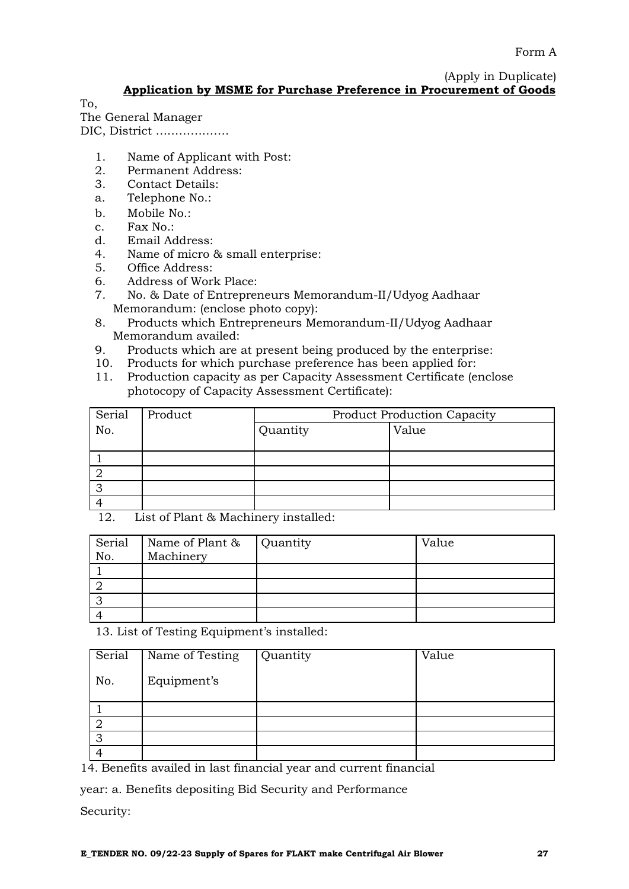(Apply in Duplicate) **Application by MSME for Purchase Preference in Procurement of Goods**

To,

The General Manager DIC, District ……………….

1. Name of Applicant with Post:

- 
- 2. Permanent Address:<br>3. Contact Details: Contact Details:
- a. Telephone No.:
- b. Mobile No.:
- c. Fax No.:
- d. Email Address:
- 4. Name of micro & small enterprise:
- 5. Office Address:
- 6. Address of Work Place:
- 7. No. & Date of Entrepreneurs Memorandum-II/Udyog Aadhaar Memorandum: (enclose photo copy):
- 8. Products which Entrepreneurs Memorandum-II/Udyog Aadhaar Memorandum availed:
- 9. Products which are at present being produced by the enterprise:
- 10. Products for which purchase preference has been applied for:
- 11. Production capacity as per Capacity Assessment Certificate (enclose photocopy of Capacity Assessment Certificate):

| Serial | Product | <b>Product Production Capacity</b> |       |  |
|--------|---------|------------------------------------|-------|--|
| No.    |         | Quantity                           | Value |  |
|        |         |                                    |       |  |
|        |         |                                    |       |  |
|        |         |                                    |       |  |
| ◠      |         |                                    |       |  |
|        |         |                                    |       |  |

12. List of Plant & Machinery installed:

| Serial<br>No. | Name of Plant & Quantity<br>Machinery | Value |
|---------------|---------------------------------------|-------|
|               |                                       |       |
|               |                                       |       |
| ာ             |                                       |       |
|               |                                       |       |

13. List of Testing Equipment's installed:

| Serial | Name of Testing | Quantity | Value |
|--------|-----------------|----------|-------|
| No.    | Equipment's     |          |       |
|        |                 |          |       |
|        |                 |          |       |
| റ      |                 |          |       |
|        |                 |          |       |

14. Benefits availed in last financial year and current financial

year: a. Benefits depositing Bid Security and Performance

Security: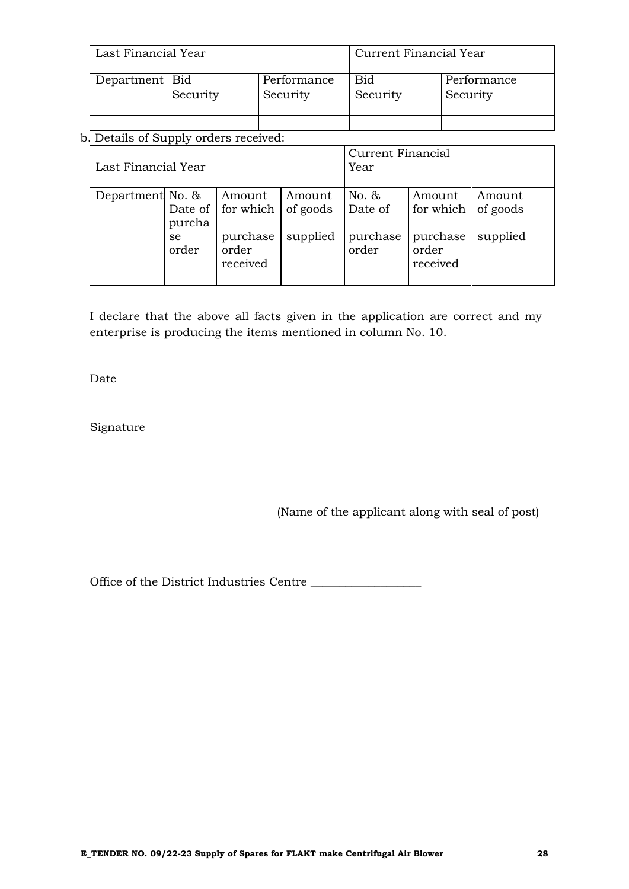| Last Financial Year |          |                         | Current Financial Year |                         |  |
|---------------------|----------|-------------------------|------------------------|-------------------------|--|
| Department   Bid    | Security | Performance<br>Security | <b>Bid</b><br>Security | Performance<br>Security |  |
|                     |          |                         |                        |                         |  |

b. Details of Supply orders received:

| Last Financial Year |                                  |                                                                  | Current Financial<br>Year      |                                          |                                                      |                                |
|---------------------|----------------------------------|------------------------------------------------------------------|--------------------------------|------------------------------------------|------------------------------------------------------|--------------------------------|
| Department No. &    | purcha<br><sub>se</sub><br>order | Amount<br>Date of   for which  <br>purchase<br>order<br>received | Amount<br>of goods<br>supplied | No. $\&$<br>Date of<br>purchase<br>order | Amount<br>for which<br>purchase<br>order<br>received | Amount<br>of goods<br>supplied |
|                     |                                  |                                                                  |                                |                                          |                                                      |                                |

I declare that the above all facts given in the application are correct and my enterprise is producing the items mentioned in column No. 10.

Date

Signature

(Name of the applicant along with seal of post)

Office of the District Industries Centre \_\_\_\_\_\_\_\_\_\_\_\_\_\_\_\_\_\_\_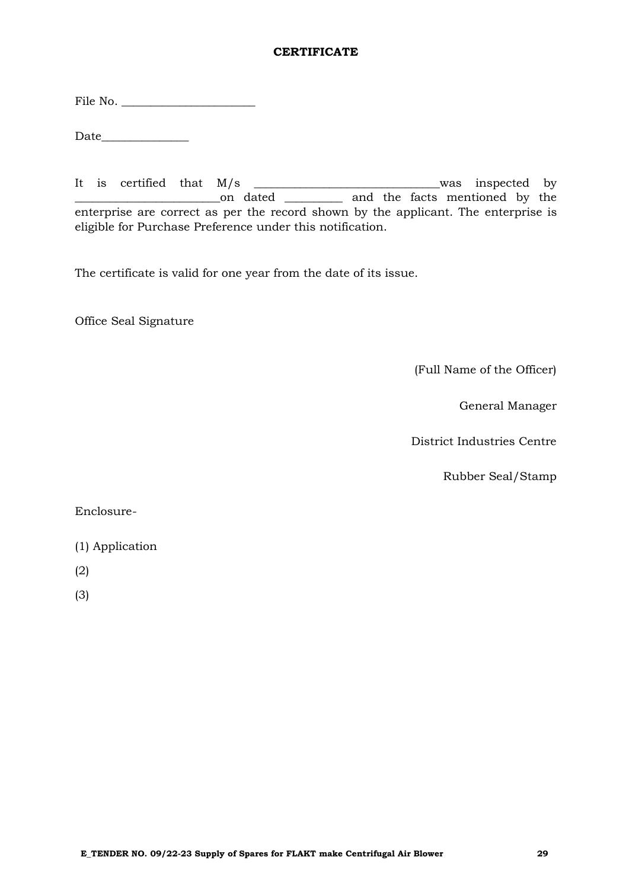# **CERTIFICATE**

File No. \_\_\_\_\_\_\_\_\_\_\_\_\_\_\_\_\_\_\_\_\_\_\_

 $Date$   $\qquad \qquad$ 

It is certified that M/s \_\_\_\_\_\_\_\_\_\_\_\_\_\_\_\_\_\_\_\_\_\_\_\_\_\_\_\_\_\_\_\_was inspected by \_\_\_\_\_\_\_\_\_\_\_\_\_\_\_\_\_\_\_\_\_\_\_\_\_on dated \_\_\_\_\_\_\_\_\_\_ and the facts mentioned by the enterprise are correct as per the record shown by the applicant. The enterprise is eligible for Purchase Preference under this notification.

The certificate is valid for one year from the date of its issue.

Office Seal Signature

(Full Name of the Officer)

General Manager

District Industries Centre

Rubber Seal/Stamp

Enclosure-

- (1) Application
- (2)

(3)